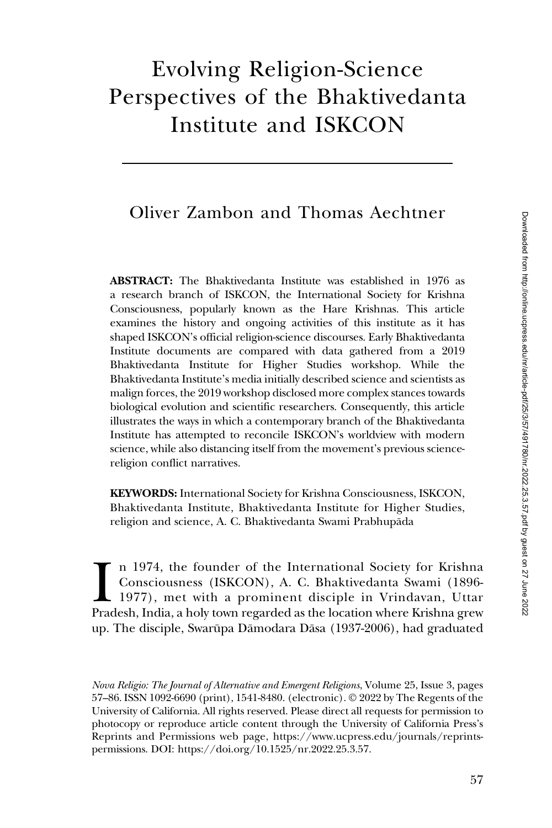# Evolving Religion-Science Perspectives of the Bhaktivedanta Institute and ISKCON

## Oliver Zambon and Thomas Aechtner

ABSTRACT: The Bhaktivedanta Institute was established in 1976 as a research branch of ISKCON, the International Society for Krishna Consciousness, popularly known as the Hare Krishnas. This article examines the history and ongoing activities of this institute as it has shaped ISKCON's official religion-science discourses. Early Bhaktivedanta Institute documents are compared with data gathered from a 2019 Bhaktivedanta Institute for Higher Studies workshop. While the Bhaktivedanta Institute's media initially described science and scientists as malign forces, the 2019 workshop disclosed more complex stances towards biological evolution and scientific researchers. Consequently, this article illustrates the ways in which a contemporary branch of the Bhaktivedanta Institute has attempted to reconcile ISKCON's worldview with modern science, while also distancing itself from the movement's previous sciencereligion conflict narratives.

KEYWORDS: International Society for Krishna Consciousness, ISKCON, Bhaktivedanta Institute, Bhaktivedanta Institute for Higher Studies, religion and science, A. C. Bhaktivedanta Swami Prabhupada ¯

In 1974, the founder of the International Society for Krishna Consciousness (ISKCON), A. C. Bhaktivedanta Swami (1896-1977), met with a prominent disciple in Vrindavan, Uttar Pradesh, India, a holy town regarded as the loc n 1974, the founder of the International Society for Krishna Consciousness (ISKCON), A. C. Bhaktivedanta Swami (1896- 1977), met with a prominent disciple in Vrindavan, Uttar up. The disciple, Swarūpa Dāmodara Dāsa (1937-2006), had graduated

Nova Religio: The Journal of Alternative and Emergent Religions, Volume 25, Issue 3, pages 57–86. ISSN 1092-6690 (print), 1541-8480. (electronic). © 2022 by The Regents of the University of California. All rights reserved. Please direct all requests for permission to photocopy or reproduce article content through the University of California Press's Reprints and Permissions web page, [https://www.ucpress.edu/journals/reprints](https://www.ucpress.edu/journals/reprints-permissions)[permissions.](https://www.ucpress.edu/journals/reprints-permissions) [DOI: https://doi.org/10.1525/nr.2022.25.3.57.](https://doi.org/10.1525/nr.2022.25.3.57)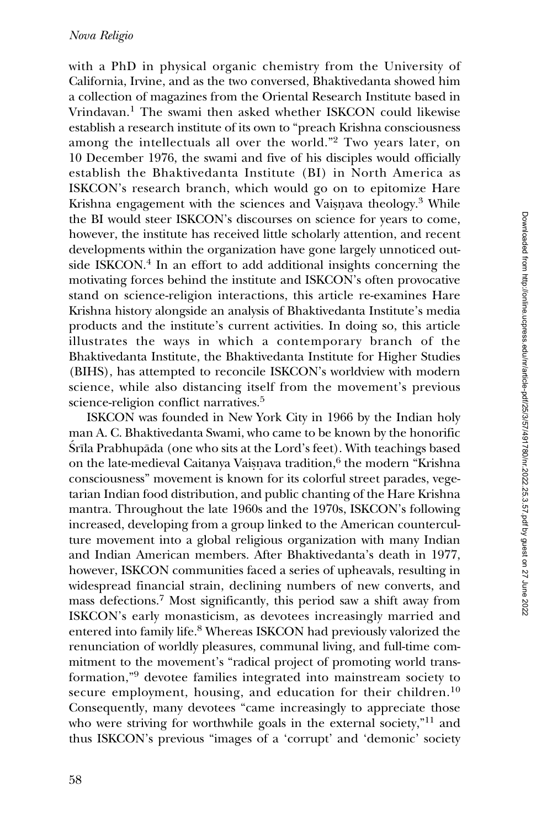#### Nova Religio

with a PhD in physical organic chemistry from the University of California, Irvine, and as the two conversed, Bhaktivedanta showed him a collection of magazines from the Oriental Research Institute based in Vrindavan.<sup>1</sup> The swami then asked whether ISKCON could likewise establish a research institute of its own to "preach Krishna consciousness among the intellectuals all over the world."2 Two years later, on 10 December 1976, the swami and five of his disciples would officially establish the Bhaktivedanta Institute (BI) in North America as ISKCON's research branch, which would go on to epitomize Hare Krishna engagement with the sciences and Vaisnava theology.<sup>3</sup> While. the BI would steer ISKCON's discourses on science for years to come, however, the institute has received little scholarly attention, and recent developments within the organization have gone largely unnoticed outside ISKCON.<sup>4</sup> In an effort to add additional insights concerning the motivating forces behind the institute and ISKCON's often provocative stand on science-religion interactions, this article re-examines Hare Krishna history alongside an analysis of Bhaktivedanta Institute's media products and the institute's current activities. In doing so, this article illustrates the ways in which a contemporary branch of the Bhaktivedanta Institute, the Bhaktivedanta Institute for Higher Studies (BIHS), has attempted to reconcile ISKCON's worldview with modern science, while also distancing itself from the movement's previous science-religion conflict narratives.<sup>5</sup>

ISKCON was founded in New York City in 1966 by the Indian holy man A. C. Bhaktivedanta Swami, who came to be known by the honorific S<sup>rī</sup>la Prabhupāda (one who sits at the Lord's feet). With teachings based on the late-medieval Caitanya Vaisnava tradition,<sup>6</sup> the modern "Krishna consciousness" movement is known for its colorful street parades, vegetarian Indian food distribution, and public chanting of the Hare Krishna mantra. Throughout the late 1960s and the 1970s, ISKCON's following increased, developing from a group linked to the American counterculture movement into a global religious organization with many Indian and Indian American members. After Bhaktivedanta's death in 1977, however, ISKCON communities faced a series of upheavals, resulting in widespread financial strain, declining numbers of new converts, and mass defections.<sup>7</sup> Most significantly, this period saw a shift away from ISKCON's early monasticism, as devotees increasingly married and entered into family life.<sup>8</sup> Whereas ISKCON had previously valorized the renunciation of worldly pleasures, communal living, and full-time commitment to the movement's "radical project of promoting world transformation,"<sup>9</sup> devotee families integrated into mainstream society to secure employment, housing, and education for their children.<sup>10</sup> Consequently, many devotees "came increasingly to appreciate those who were striving for worthwhile goals in the external society,"<sup>11</sup> and thus ISKCON's previous "images of a 'corrupt' and 'demonic' society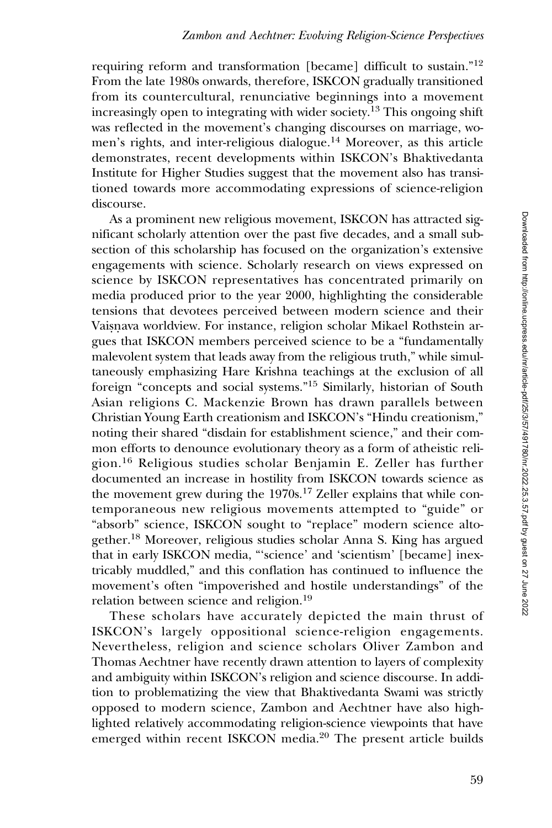requiring reform and transformation [became] difficult to sustain."<sup>12</sup> From the late 1980s onwards, therefore, ISKCON gradually transitioned from its countercultural, renunciative beginnings into a movement increasingly open to integrating with wider society.13 This ongoing shift was reflected in the movement's changing discourses on marriage, women's rights, and inter-religious dialogue.<sup>14</sup> Moreover, as this article demonstrates, recent developments within ISKCON's Bhaktivedanta Institute for Higher Studies suggest that the movement also has transitioned towards more accommodating expressions of science-religion discourse.

As a prominent new religious movement, ISKCON has attracted significant scholarly attention over the past five decades, and a small subsection of this scholarship has focused on the organization's extensive engagements with science. Scholarly research on views expressed on science by ISKCON representatives has concentrated primarily on media produced prior to the year 2000, highlighting the considerable tensions that devotees perceived between modern science and their Vaisnava worldview. For instance, religion scholar Mikael Rothstein argues that ISKCON members perceived science to be a "fundamentally malevolent system that leads away from the religious truth," while simultaneously emphasizing Hare Krishna teachings at the exclusion of all foreign "concepts and social systems."<sup>15</sup> Similarly, historian of South Asian religions C. Mackenzie Brown has drawn parallels between Christian Young Earth creationism and ISKCON's "Hindu creationism," noting their shared "disdain for establishment science," and their common efforts to denounce evolutionary theory as a form of atheistic religion.<sup>16</sup> Religious studies scholar Benjamin E. Zeller has further documented an increase in hostility from ISKCON towards science as the movement grew during the 1970s.<sup>17</sup> Zeller explains that while contemporaneous new religious movements attempted to "guide" or "absorb" science, ISKCON sought to "replace" modern science altogether.<sup>18</sup> Moreover, religious studies scholar Anna S. King has argued that in early ISKCON media, "'science' and 'scientism' [became] inextricably muddled," and this conflation has continued to influence the movement's often "impoverished and hostile understandings" of the relation between science and religion.<sup>19</sup>

These scholars have accurately depicted the main thrust of ISKCON's largely oppositional science-religion engagements. Nevertheless, religion and science scholars Oliver Zambon and Thomas Aechtner have recently drawn attention to layers of complexity and ambiguity within ISKCON's religion and science discourse. In addition to problematizing the view that Bhaktivedanta Swami was strictly opposed to modern science, Zambon and Aechtner have also highlighted relatively accommodating religion-science viewpoints that have emerged within recent ISKCON media.<sup>20</sup> The present article builds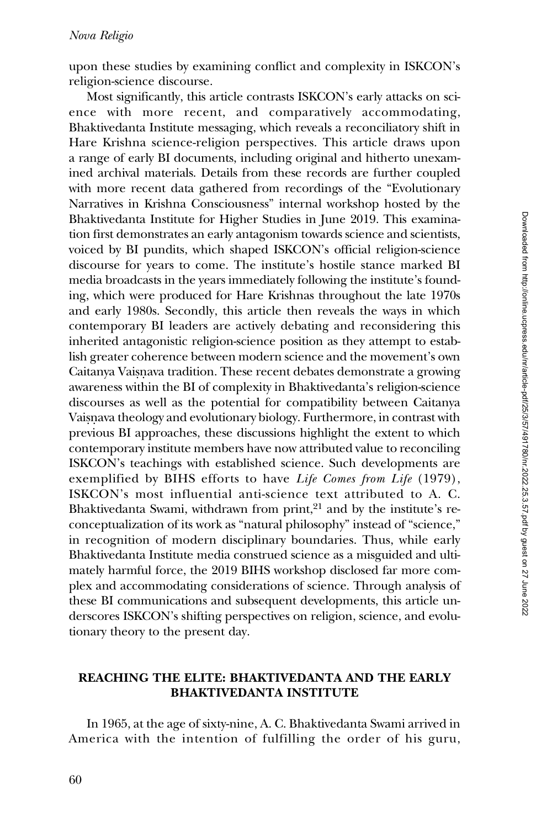upon these studies by examining conflict and complexity in ISKCON's religion-science discourse.

Most significantly, this article contrasts ISKCON's early attacks on science with more recent, and comparatively accommodating, Bhaktivedanta Institute messaging, which reveals a reconciliatory shift in Hare Krishna science-religion perspectives. This article draws upon a range of early BI documents, including original and hitherto unexamined archival materials. Details from these records are further coupled with more recent data gathered from recordings of the "Evolutionary Narratives in Krishna Consciousness" internal workshop hosted by the Bhaktivedanta Institute for Higher Studies in June 2019. This examination first demonstrates an early antagonism towards science and scientists, voiced by BI pundits, which shaped ISKCON's official religion-science discourse for years to come. The institute's hostile stance marked BI media broadcasts in the years immediately following the institute's founding, which were produced for Hare Krishnas throughout the late 1970s and early 1980s. Secondly, this article then reveals the ways in which contemporary BI leaders are actively debating and reconsidering this inherited antagonistic religion-science position as they attempt to establish greater coherence between modern science and the movement's own Caitanya Vaisnava tradition. These recent debates demonstrate a growing awareness within the BI of complexity in Bhaktivedanta's religion-science discourses as well as the potential for compatibility between Caitanya Vaisnava theology and evolutionary biology. Furthermore, in contrast with previous BI approaches, these discussions highlight the extent to which contemporary institute members have now attributed value to reconciling ISKCON's teachings with established science. Such developments are exemplified by BIHS efforts to have Life Comes from Life (1979), ISKCON's most influential anti-science text attributed to A. C. Bhaktivedanta Swami, withdrawn from print, $21$  and by the institute's reconceptualization of its work as "natural philosophy" instead of "science," in recognition of modern disciplinary boundaries. Thus, while early Bhaktivedanta Institute media construed science as a misguided and ultimately harmful force, the 2019 BIHS workshop disclosed far more complex and accommodating considerations of science. Through analysis of these BI communications and subsequent developments, this article underscores ISKCON's shifting perspectives on religion, science, and evolutionary theory to the present day.

#### REACHING THE ELITE: BHAKTIVEDANTA AND THE EARLY BHAKTIVEDANTA INSTITUTE

In 1965, at the age of sixty-nine, A. C. Bhaktivedanta Swami arrived in America with the intention of fulfilling the order of his guru,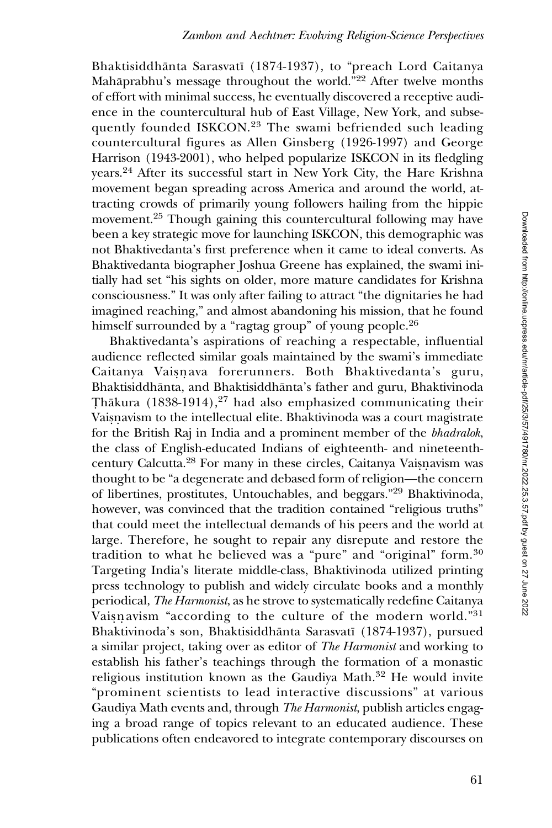Bhaktisiddhānta Sarasvatī (1874-1937), to "preach Lord Caitanya Mahāprabhu's message throughout the world."<sup>22</sup> After twelve months of effort with minimal success, he eventually discovered a receptive audience in the countercultural hub of East Village, New York, and subsequently founded ISKCON.<sup>23</sup> The swami befriended such leading countercultural figures as Allen Ginsberg (1926-1997) and George Harrison (1943-2001), who helped popularize ISKCON in its fledgling years.<sup>24</sup> After its successful start in New York City, the Hare Krishna movement began spreading across America and around the world, attracting crowds of primarily young followers hailing from the hippie movement.<sup>25</sup> Though gaining this countercultural following may have been a key strategic move for launching ISKCON, this demographic was not Bhaktivedanta's first preference when it came to ideal converts. As Bhaktivedanta biographer Joshua Greene has explained, the swami initially had set "his sights on older, more mature candidates for Krishna consciousness." It was only after failing to attract "the dignitaries he had imagined reaching," and almost abandoning his mission, that he found himself surrounded by a "ragtag group" of young people.<sup>26</sup>

Bhaktivedanta's aspirations of reaching a respectable, influential audience reflected similar goals maintained by the swami's immediate Caitanya Vaisnava forerunners. Both Bhaktivedanta's guru, Bhaktisiddhānta, and Bhaktisiddhānta's father and guru, Bhaktivinoda Thākura (1838-1914),<sup>27</sup> had also emphasized communicating their Vaisnavism to the intellectual elite. Bhaktivinoda was a court magistrate for the British Raj in India and a prominent member of the bhadralok, the class of English-educated Indians of eighteenth- and nineteenthcentury Calcutta.<sup>28</sup> For many in these circles, Caitanya Vaisnavism was thought to be "a degenerate and debased form of religion—the concern of libertines, prostitutes, Untouchables, and beggars."29 Bhaktivinoda, however, was convinced that the tradition contained "religious truths" that could meet the intellectual demands of his peers and the world at large. Therefore, he sought to repair any disrepute and restore the tradition to what he believed was a "pure" and "original" form.<sup>30</sup> Targeting India's literate middle-class, Bhaktivinoda utilized printing press technology to publish and widely circulate books and a monthly periodical, The Harmonist, as he strove to systematically redefine Caitanya Vaisnavism "according to the culture of the modern world." $31$ Bhaktivinoda's son, Bhaktisiddhānta Sarasvatī (1874-1937), pursued a similar project, taking over as editor of The Harmonist and working to establish his father's teachings through the formation of a monastic religious institution known as the Gaudiya Math.<sup>32</sup> He would invite "prominent scientists to lead interactive discussions" at various Gaudiya Math events and, through The Harmonist, publish articles engaging a broad range of topics relevant to an educated audience. These publications often endeavored to integrate contemporary discourses on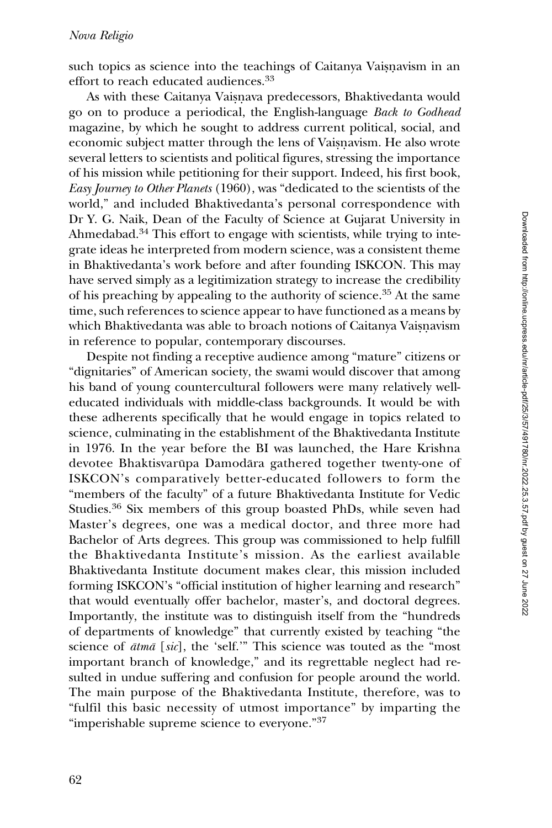such topics as science into the teachings of Caitanya Vaisnavism in an effort to reach educated audiences.<sup>33</sup>

As with these Caitanya Vaisnava predecessors, Bhaktivedanta would go on to produce a periodical, the English-language Back to Godhead magazine, by which he sought to address current political, social, and economic subject matter through the lens of Vaisnavism. He also wrote several letters to scientists and political figures, stressing the importance of his mission while petitioning for their support. Indeed, his first book, Easy Journey to Other Planets (1960), was "dedicated to the scientists of the world," and included Bhaktivedanta's personal correspondence with Dr Y. G. Naik, Dean of the Faculty of Science at Gujarat University in Ahmedabad.<sup>34</sup> This effort to engage with scientists, while trying to integrate ideas he interpreted from modern science, was a consistent theme in Bhaktivedanta's work before and after founding ISKCON. This may have served simply as a legitimization strategy to increase the credibility of his preaching by appealing to the authority of science.<sup>35</sup> At the same time, such references to science appear to have functioned as a means by which Bhaktivedanta was able to broach notions of Caitanya Vaisnavism in reference to popular, contemporary discourses.

Despite not finding a receptive audience among "mature" citizens or "dignitaries" of American society, the swami would discover that among his band of young countercultural followers were many relatively welleducated individuals with middle-class backgrounds. It would be with these adherents specifically that he would engage in topics related to science, culminating in the establishment of the Bhaktivedanta Institute in 1976. In the year before the BI was launched, the Hare Krishna devotee Bhaktisvarūpa Damodāra gathered together twenty-one of ISKCON's comparatively better-educated followers to form the "members of the faculty" of a future Bhaktivedanta Institute for Vedic Studies.<sup>36</sup> Six members of this group boasted PhDs, while seven had Master's degrees, one was a medical doctor, and three more had Bachelor of Arts degrees. This group was commissioned to help fulfill the Bhaktivedanta Institute's mission. As the earliest available Bhaktivedanta Institute document makes clear, this mission included forming ISKCON's "official institution of higher learning and research" that would eventually offer bachelor, master's, and doctoral degrees. Importantly, the institute was to distinguish itself from the "hundreds of departments of knowledge" that currently existed by teaching "the science of  $\bar{a}$ tm $\bar{a}$  [sic], the 'self.'" This science was touted as the "most important branch of knowledge," and its regrettable neglect had resulted in undue suffering and confusion for people around the world. The main purpose of the Bhaktivedanta Institute, therefore, was to "fulfil this basic necessity of utmost importance" by imparting the "imperishable supreme science to everyone."<sup>37</sup>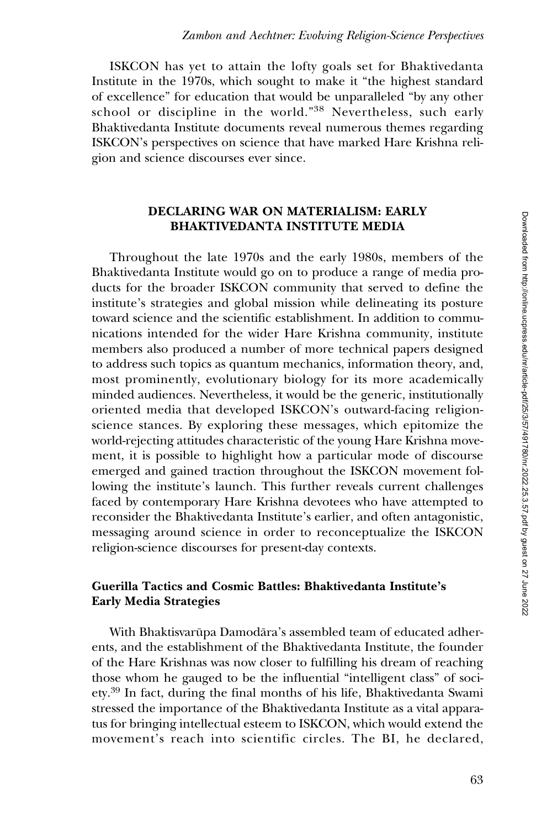ISKCON has yet to attain the lofty goals set for Bhaktivedanta Institute in the 1970s, which sought to make it "the highest standard of excellence" for education that would be unparalleled "by any other school or discipline in the world."<sup>38</sup> Nevertheless, such early Bhaktivedanta Institute documents reveal numerous themes regarding ISKCON's perspectives on science that have marked Hare Krishna religion and science discourses ever since.

#### DECLARING WAR ON MATERIALISM: EARLY BHAKTIVEDANTA INSTITUTE MEDIA

Throughout the late 1970s and the early 1980s, members of the Bhaktivedanta Institute would go on to produce a range of media products for the broader ISKCON community that served to define the institute's strategies and global mission while delineating its posture toward science and the scientific establishment. In addition to communications intended for the wider Hare Krishna community, institute members also produced a number of more technical papers designed to address such topics as quantum mechanics, information theory, and, most prominently, evolutionary biology for its more academically minded audiences. Nevertheless, it would be the generic, institutionally oriented media that developed ISKCON's outward-facing religionscience stances. By exploring these messages, which epitomize the world-rejecting attitudes characteristic of the young Hare Krishna movement, it is possible to highlight how a particular mode of discourse emerged and gained traction throughout the ISKCON movement following the institute's launch. This further reveals current challenges faced by contemporary Hare Krishna devotees who have attempted to reconsider the Bhaktivedanta Institute's earlier, and often antagonistic, messaging around science in order to reconceptualize the ISKCON religion-science discourses for present-day contexts.

#### Guerilla Tactics and Cosmic Battles: Bhaktivedanta Institute's Early Media Strategies

With Bhaktisvarūpa Damodāra's assembled team of educated adherents, and the establishment of the Bhaktivedanta Institute, the founder of the Hare Krishnas was now closer to fulfilling his dream of reaching those whom he gauged to be the influential "intelligent class" of society.<sup>39</sup> In fact, during the final months of his life, Bhaktivedanta Swami stressed the importance of the Bhaktivedanta Institute as a vital apparatus for bringing intellectual esteem to ISKCON, which would extend the movement's reach into scientific circles. The BI, he declared,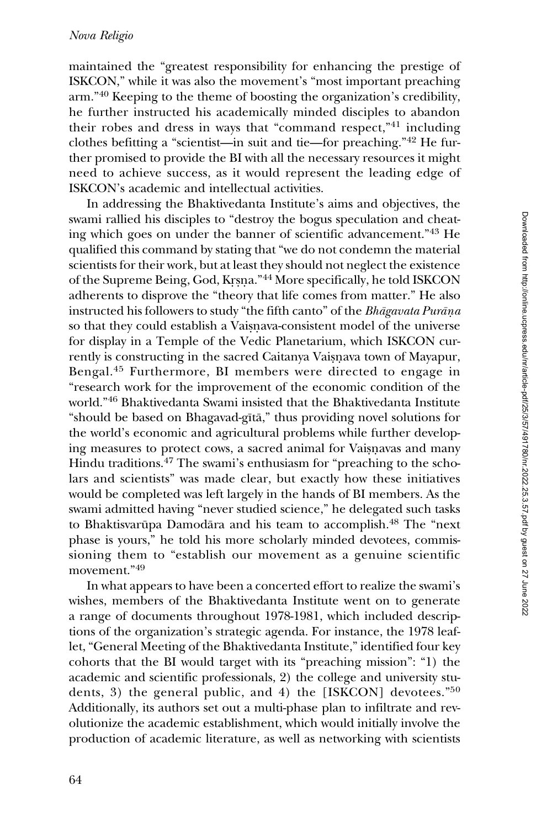maintained the "greatest responsibility for enhancing the prestige of ISKCON," while it was also the movement's "most important preaching arm."40 Keeping to the theme of boosting the organization's credibility, he further instructed his academically minded disciples to abandon their robes and dress in ways that "command respect,"<sup>41</sup> including clothes befitting a "scientist—in suit and tie—for preaching."<sup>42</sup> He further promised to provide the BI with all the necessary resources it might need to achieve success, as it would represent the leading edge of ISKCON's academic and intellectual activities.

In addressing the Bhaktivedanta Institute's aims and objectives, the swami rallied his disciples to "destroy the bogus speculation and cheating which goes on under the banner of scientific advancement."<sup>43</sup> He qualified this command by stating that "we do not condemn the material scientists for their work, but at least they should not neglect the existence of the Supreme Being, God, Krsna."<sup>44</sup> More specifically, he told ISKCON adherents to disprove the "theory that life comes from matter." He also instructed his followers to study "the fifth canto" of the Bhagavata Purana so that they could establish a Vaisnava-consistent model of the universe for display in a Temple of the Vedic Planetarium, which ISKCON currently is constructing in the sacred Caitanya Vaisnava town of Mayapur, Bengal.<sup>45</sup> Furthermore, BI members were directed to engage in "research work for the improvement of the economic condition of the world."<sup>46</sup> Bhaktivedanta Swami insisted that the Bhaktivedanta Institute "should be based on Bhagavad-gītā," thus providing novel solutions for the world's economic and agricultural problems while further developing measures to protect cows, a sacred animal for Vaisnavas and many Hindu traditions.<sup>47</sup> The swami's enthusiasm for "preaching to the scholars and scientists" was made clear, but exactly how these initiatives would be completed was left largely in the hands of BI members. As the swami admitted having "never studied science," he delegated such tasks to Bhaktisvarūpa Damodāra and his team to accomplish.<sup>48</sup> The "next phase is yours," he told his more scholarly minded devotees, commissioning them to "establish our movement as a genuine scientific movement."<sup>49</sup>

In what appears to have been a concerted effort to realize the swami's wishes, members of the Bhaktivedanta Institute went on to generate a range of documents throughout 1978-1981, which included descriptions of the organization's strategic agenda. For instance, the 1978 leaflet, "General Meeting of the Bhaktivedanta Institute," identified four key cohorts that the BI would target with its "preaching mission": "1) the academic and scientific professionals, 2) the college and university students, 3) the general public, and 4) the [ISKCON] devotees."50 Additionally, its authors set out a multi-phase plan to infiltrate and revolutionize the academic establishment, which would initially involve the production of academic literature, as well as networking with scientists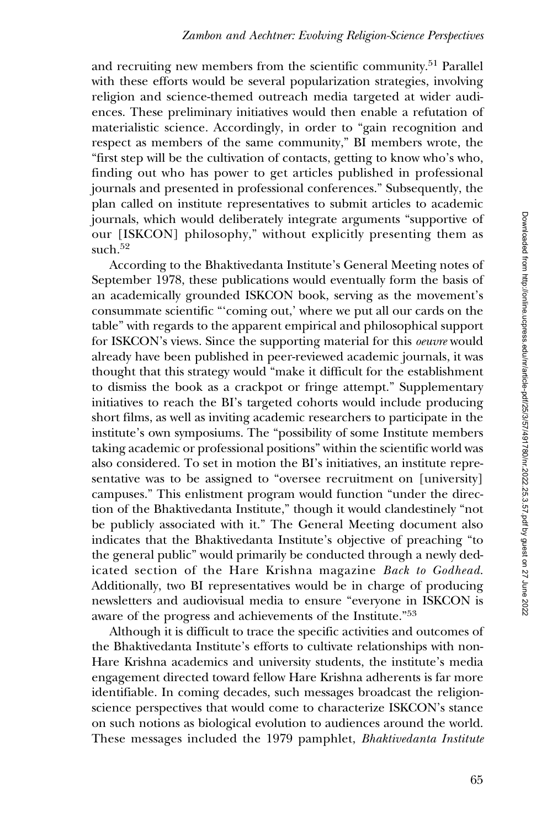and recruiting new members from the scientific community.<sup>51</sup> Parallel with these efforts would be several popularization strategies, involving religion and science-themed outreach media targeted at wider audiences. These preliminary initiatives would then enable a refutation of materialistic science. Accordingly, in order to "gain recognition and respect as members of the same community," BI members wrote, the "first step will be the cultivation of contacts, getting to know who's who, finding out who has power to get articles published in professional journals and presented in professional conferences." Subsequently, the plan called on institute representatives to submit articles to academic journals, which would deliberately integrate arguments "supportive of our [ISKCON] philosophy," without explicitly presenting them as such.<sup>52</sup>

According to the Bhaktivedanta Institute's General Meeting notes of September 1978, these publications would eventually form the basis of an academically grounded ISKCON book, serving as the movement's consummate scientific "'coming out,' where we put all our cards on the table" with regards to the apparent empirical and philosophical support for ISKCON's views. Since the supporting material for this oeuvre would already have been published in peer-reviewed academic journals, it was thought that this strategy would "make it difficult for the establishment to dismiss the book as a crackpot or fringe attempt." Supplementary initiatives to reach the BI's targeted cohorts would include producing short films, as well as inviting academic researchers to participate in the institute's own symposiums. The "possibility of some Institute members taking academic or professional positions" within the scientific world was also considered. To set in motion the BI's initiatives, an institute representative was to be assigned to "oversee recruitment on [university] campuses." This enlistment program would function "under the direction of the Bhaktivedanta Institute," though it would clandestinely "not be publicly associated with it." The General Meeting document also indicates that the Bhaktivedanta Institute's objective of preaching "to the general public" would primarily be conducted through a newly dedicated section of the Hare Krishna magazine Back to Godhead. Additionally, two BI representatives would be in charge of producing newsletters and audiovisual media to ensure "everyone in ISKCON is aware of the progress and achievements of the Institute."53

Although it is difficult to trace the specific activities and outcomes of the Bhaktivedanta Institute's efforts to cultivate relationships with non-Hare Krishna academics and university students, the institute's media engagement directed toward fellow Hare Krishna adherents is far more identifiable. In coming decades, such messages broadcast the religionscience perspectives that would come to characterize ISKCON's stance on such notions as biological evolution to audiences around the world. These messages included the 1979 pamphlet, Bhaktivedanta Institute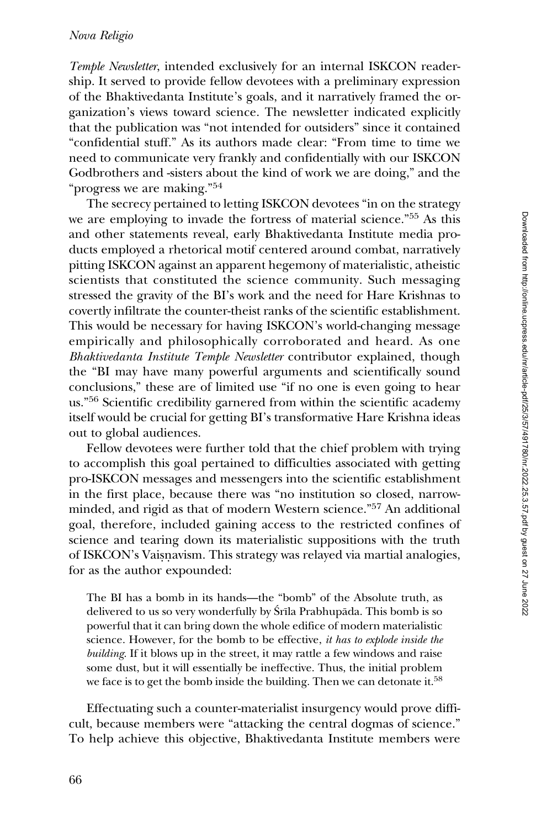Temple Newsletter, intended exclusively for an internal ISKCON readership. It served to provide fellow devotees with a preliminary expression of the Bhaktivedanta Institute's goals, and it narratively framed the organization's views toward science. The newsletter indicated explicitly that the publication was "not intended for outsiders" since it contained "confidential stuff." As its authors made clear: "From time to time we need to communicate very frankly and confidentially with our ISKCON Godbrothers and -sisters about the kind of work we are doing," and the "progress we are making."<sup>54</sup>

The secrecy pertained to letting ISKCON devotees "in on the strategy we are employing to invade the fortress of material science."<sup>55</sup> As this and other statements reveal, early Bhaktivedanta Institute media products employed a rhetorical motif centered around combat, narratively pitting ISKCON against an apparent hegemony of materialistic, atheistic scientists that constituted the science community. Such messaging stressed the gravity of the BI's work and the need for Hare Krishnas to covertly infiltrate the counter-theist ranks of the scientific establishment. This would be necessary for having ISKCON's world-changing message empirically and philosophically corroborated and heard. As one Bhaktivedanta Institute Temple Newsletter contributor explained, though the "BI may have many powerful arguments and scientifically sound conclusions," these are of limited use "if no one is even going to hear us."56 Scientific credibility garnered from within the scientific academy itself would be crucial for getting BI's transformative Hare Krishna ideas out to global audiences.

Fellow devotees were further told that the chief problem with trying to accomplish this goal pertained to difficulties associated with getting pro-ISKCON messages and messengers into the scientific establishment in the first place, because there was "no institution so closed, narrowminded, and rigid as that of modern Western science."57 An additional goal, therefore, included gaining access to the restricted confines of science and tearing down its materialistic suppositions with the truth of ISKCON's Vaisnavism. This strategy was relayed via martial analogies, for as the author expounded:

The BI has a bomb in its hands—the "bomb" of the Absolute truth, as delivered to us so very wonderfully by Srila Prabhupada. This bomb is so powerful that it can bring down the whole edifice of modern materialistic science. However, for the bomb to be effective, it has to explode inside the building. If it blows up in the street, it may rattle a few windows and raise some dust, but it will essentially be ineffective. Thus, the initial problem we face is to get the bomb inside the building. Then we can detonate it.<sup>58</sup>

Effectuating such a counter-materialist insurgency would prove difficult, because members were "attacking the central dogmas of science." To help achieve this objective, Bhaktivedanta Institute members were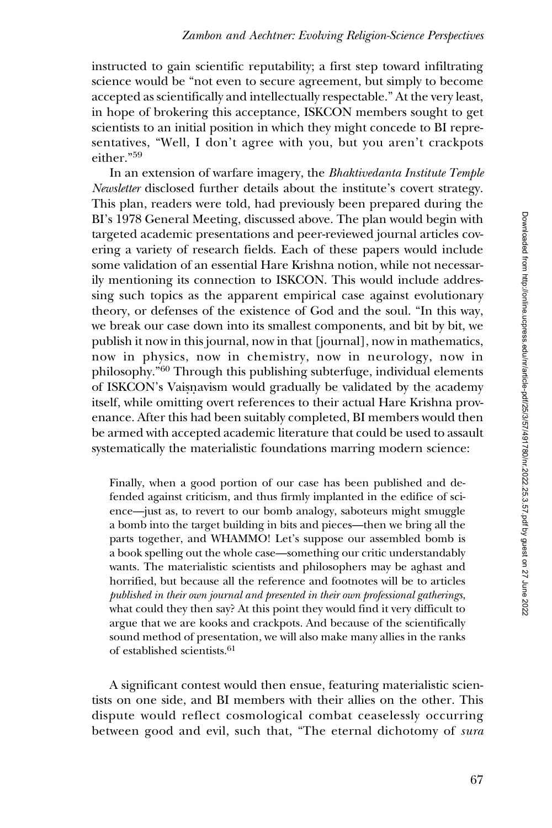instructed to gain scientific reputability; a first step toward infiltrating science would be "not even to secure agreement, but simply to become accepted as scientifically and intellectually respectable." At the very least, in hope of brokering this acceptance, ISKCON members sought to get scientists to an initial position in which they might concede to BI representatives, "Well, I don't agree with you, but you aren't crackpots either."<sup>59</sup>

In an extension of warfare imagery, the Bhaktivedanta Institute Temple Newsletter disclosed further details about the institute's covert strategy. This plan, readers were told, had previously been prepared during the BI's 1978 General Meeting, discussed above. The plan would begin with targeted academic presentations and peer-reviewed journal articles covering a variety of research fields. Each of these papers would include some validation of an essential Hare Krishna notion, while not necessarily mentioning its connection to ISKCON. This would include addressing such topics as the apparent empirical case against evolutionary theory, or defenses of the existence of God and the soul. "In this way, we break our case down into its smallest components, and bit by bit, we publish it now in this journal, now in that [journal], now in mathematics, now in physics, now in chemistry, now in neurology, now in philosophy."<sup>60</sup> Through this publishing subterfuge, individual elements of ISKCON's Vaisnavism would gradually be validated by the academy itself, while omitting overt references to their actual Hare Krishna provenance. After this had been suitably completed, BI members would then be armed with accepted academic literature that could be used to assault systematically the materialistic foundations marring modern science:

Finally, when a good portion of our case has been published and defended against criticism, and thus firmly implanted in the edifice of science—just as, to revert to our bomb analogy, saboteurs might smuggle a bomb into the target building in bits and pieces—then we bring all the parts together, and WHAMMO! Let's suppose our assembled bomb is a book spelling out the whole case—something our critic understandably wants. The materialistic scientists and philosophers may be aghast and horrified, but because all the reference and footnotes will be to articles published in their own journal and presented in their own professional gatherings, what could they then say? At this point they would find it very difficult to argue that we are kooks and crackpots. And because of the scientifically sound method of presentation, we will also make many allies in the ranks of established scientists.<sup>61</sup>

A significant contest would then ensue, featuring materialistic scientists on one side, and BI members with their allies on the other. This dispute would reflect cosmological combat ceaselessly occurring between good and evil, such that, "The eternal dichotomy of sura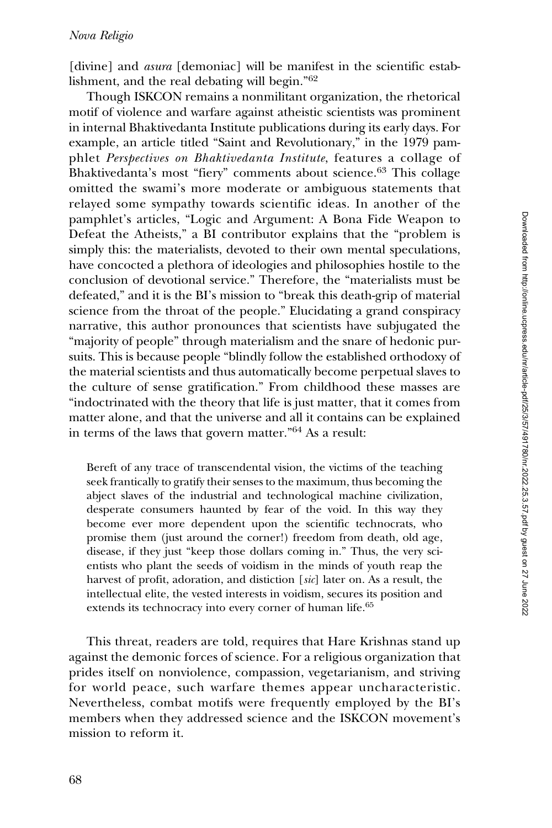[divine] and *asura* [demoniac] will be manifest in the scientific establishment, and the real debating will begin."<sup>62</sup>

Though ISKCON remains a nonmilitant organization, the rhetorical motif of violence and warfare against atheistic scientists was prominent in internal Bhaktivedanta Institute publications during its early days. For example, an article titled "Saint and Revolutionary," in the 1979 pamphlet Perspectives on Bhaktivedanta Institute, features a collage of Bhaktivedanta's most "fiery" comments about science.<sup>63</sup> This collage omitted the swami's more moderate or ambiguous statements that relayed some sympathy towards scientific ideas. In another of the pamphlet's articles, "Logic and Argument: A Bona Fide Weapon to Defeat the Atheists," a BI contributor explains that the "problem is simply this: the materialists, devoted to their own mental speculations, have concocted a plethora of ideologies and philosophies hostile to the conclusion of devotional service." Therefore, the "materialists must be defeated," and it is the BI's mission to "break this death-grip of material science from the throat of the people." Elucidating a grand conspiracy narrative, this author pronounces that scientists have subjugated the "majority of people" through materialism and the snare of hedonic pursuits. This is because people "blindly follow the established orthodoxy of the material scientists and thus automatically become perpetual slaves to the culture of sense gratification." From childhood these masses are "indoctrinated with the theory that life is just matter, that it comes from matter alone, and that the universe and all it contains can be explained in terms of the laws that govern matter."<sup>64</sup> As a result:

Bereft of any trace of transcendental vision, the victims of the teaching seek frantically to gratify their senses to the maximum, thus becoming the abject slaves of the industrial and technological machine civilization, desperate consumers haunted by fear of the void. In this way they become ever more dependent upon the scientific technocrats, who promise them (just around the corner!) freedom from death, old age, disease, if they just "keep those dollars coming in." Thus, the very scientists who plant the seeds of voidism in the minds of youth reap the harvest of profit, adoration, and distiction [sic] later on. As a result, the intellectual elite, the vested interests in voidism, secures its position and extends its technocracy into every corner of human life.<sup>65</sup>

This threat, readers are told, requires that Hare Krishnas stand up against the demonic forces of science. For a religious organization that prides itself on nonviolence, compassion, vegetarianism, and striving for world peace, such warfare themes appear uncharacteristic. Nevertheless, combat motifs were frequently employed by the BI's members when they addressed science and the ISKCON movement's mission to reform it.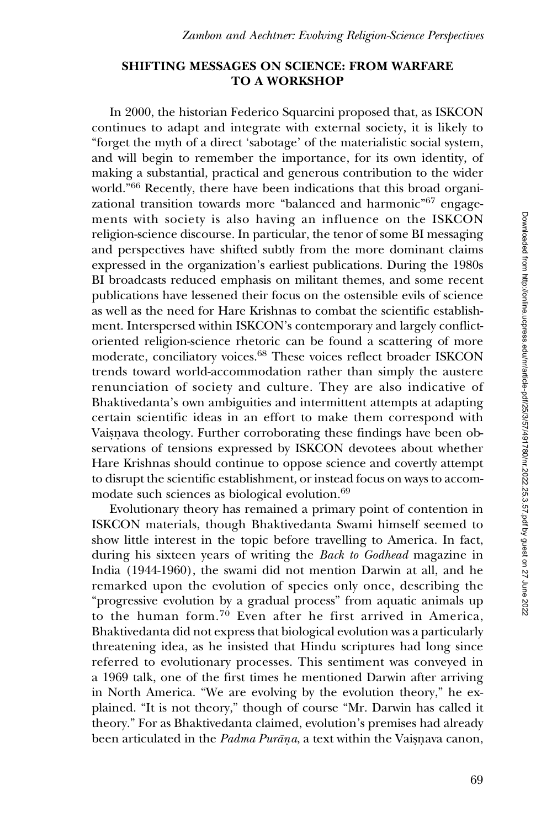#### SHIFTING MESSAGES ON SCIENCE: FROM WARFARE TO A WORKSHOP

In 2000, the historian Federico Squarcini proposed that, as ISKCON continues to adapt and integrate with external society, it is likely to "forget the myth of a direct 'sabotage' of the materialistic social system, and will begin to remember the importance, for its own identity, of making a substantial, practical and generous contribution to the wider world."<sup>66</sup> Recently, there have been indications that this broad organizational transition towards more "balanced and harmonic"67 engagements with society is also having an influence on the ISKCON religion-science discourse. In particular, the tenor of some BI messaging and perspectives have shifted subtly from the more dominant claims expressed in the organization's earliest publications. During the 1980s BI broadcasts reduced emphasis on militant themes, and some recent publications have lessened their focus on the ostensible evils of science as well as the need for Hare Krishnas to combat the scientific establishment. Interspersed within ISKCON's contemporary and largely conflictoriented religion-science rhetoric can be found a scattering of more moderate, conciliatory voices.68 These voices reflect broader ISKCON trends toward world-accommodation rather than simply the austere renunciation of society and culture. They are also indicative of Bhaktivedanta's own ambiguities and intermittent attempts at adapting certain scientific ideas in an effort to make them correspond with Vaisnava theology. Further corroborating these findings have been observations of tensions expressed by ISKCON devotees about whether Hare Krishnas should continue to oppose science and covertly attempt to disrupt the scientific establishment, or instead focus on ways to accommodate such sciences as biological evolution.<sup>69</sup>

Evolutionary theory has remained a primary point of contention in ISKCON materials, though Bhaktivedanta Swami himself seemed to show little interest in the topic before travelling to America. In fact, during his sixteen years of writing the *Back to Godhead* magazine in India (1944-1960), the swami did not mention Darwin at all, and he remarked upon the evolution of species only once, describing the "progressive evolution by a gradual process" from aquatic animals up to the human form.<sup>70</sup> Even after he first arrived in America, Bhaktivedanta did not express that biological evolution was a particularly threatening idea, as he insisted that Hindu scriptures had long since referred to evolutionary processes. This sentiment was conveyed in a 1969 talk, one of the first times he mentioned Darwin after arriving in North America. "We are evolving by the evolution theory," he explained. "It is not theory," though of course "Mr. Darwin has called it theory." For as Bhaktivedanta claimed, evolution's premises had already been articulated in the *Padma Purāna*, a text within the Vaisnava canon,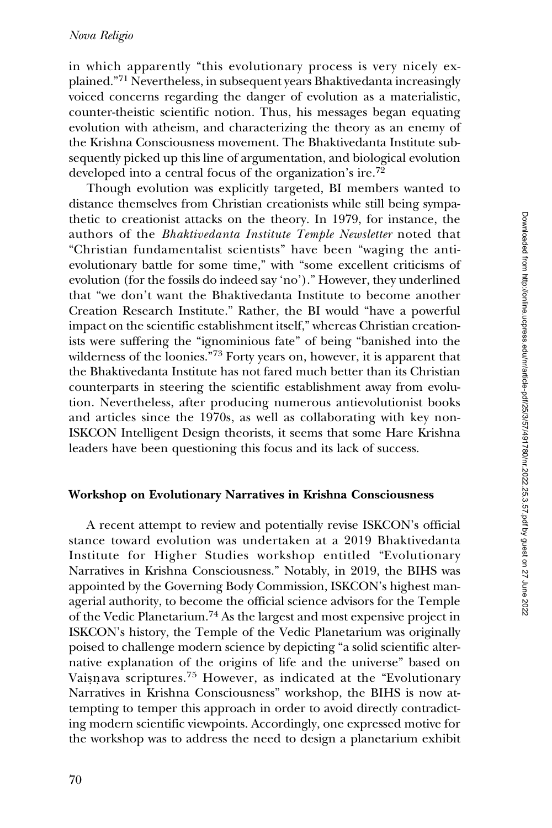#### Nova Religio

in which apparently "this evolutionary process is very nicely explained."<sup>71</sup> Nevertheless, in subsequent years Bhaktivedanta increasingly voiced concerns regarding the danger of evolution as a materialistic, counter-theistic scientific notion. Thus, his messages began equating evolution with atheism, and characterizing the theory as an enemy of the Krishna Consciousness movement. The Bhaktivedanta Institute subsequently picked up this line of argumentation, and biological evolution developed into a central focus of the organization's ire.<sup>72</sup>

Though evolution was explicitly targeted, BI members wanted to distance themselves from Christian creationists while still being sympathetic to creationist attacks on the theory. In 1979, for instance, the authors of the Bhaktivedanta Institute Temple Newsletter noted that "Christian fundamentalist scientists" have been "waging the antievolutionary battle for some time," with "some excellent criticisms of evolution (for the fossils do indeed say 'no')." However, they underlined that "we don't want the Bhaktivedanta Institute to become another Creation Research Institute." Rather, the BI would "have a powerful impact on the scientific establishment itself," whereas Christian creationists were suffering the "ignominious fate" of being "banished into the wilderness of the loonies."<sup>73</sup> Forty years on, however, it is apparent that the Bhaktivedanta Institute has not fared much better than its Christian counterparts in steering the scientific establishment away from evolution. Nevertheless, after producing numerous antievolutionist books and articles since the 1970s, as well as collaborating with key non-ISKCON Intelligent Design theorists, it seems that some Hare Krishna leaders have been questioning this focus and its lack of success.

#### Workshop on Evolutionary Narratives in Krishna Consciousness

A recent attempt to review and potentially revise ISKCON's official stance toward evolution was undertaken at a 2019 Bhaktivedanta Institute for Higher Studies workshop entitled "Evolutionary Narratives in Krishna Consciousness." Notably, in 2019, the BIHS was appointed by the Governing Body Commission, ISKCON's highest managerial authority, to become the official science advisors for the Temple of the Vedic Planetarium.<sup>74</sup> As the largest and most expensive project in ISKCON's history, the Temple of the Vedic Planetarium was originally poised to challenge modern science by depicting "a solid scientific alternative explanation of the origins of life and the universe" based on Vaisnava scriptures.<sup>75</sup> However, as indicated at the "Evolutionary Narratives in Krishna Consciousness" workshop, the BIHS is now attempting to temper this approach in order to avoid directly contradicting modern scientific viewpoints. Accordingly, one expressed motive for the workshop was to address the need to design a planetarium exhibit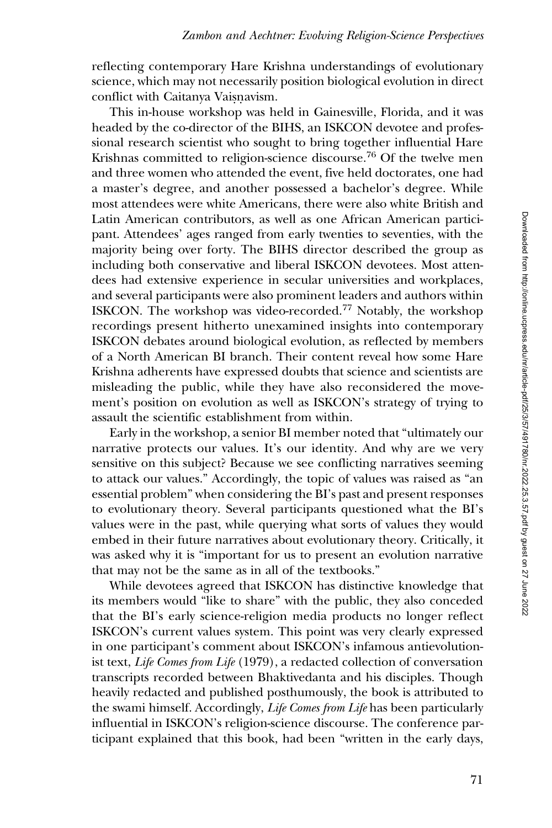reflecting contemporary Hare Krishna understandings of evolutionary science, which may not necessarily position biological evolution in direct conflict with Caitanya Vaisnavism.

This in-house workshop was held in Gainesville, Florida, and it was headed by the co-director of the BIHS, an ISKCON devotee and professional research scientist who sought to bring together influential Hare Krishnas committed to religion-science discourse.<sup>76</sup> Of the twelve men and three women who attended the event, five held doctorates, one had a master's degree, and another possessed a bachelor's degree. While most attendees were white Americans, there were also white British and Latin American contributors, as well as one African American participant. Attendees' ages ranged from early twenties to seventies, with the majority being over forty. The BIHS director described the group as including both conservative and liberal ISKCON devotees. Most attendees had extensive experience in secular universities and workplaces, and several participants were also prominent leaders and authors within ISKCON. The workshop was video-recorded.<sup>77</sup> Notably, the workshop recordings present hitherto unexamined insights into contemporary ISKCON debates around biological evolution, as reflected by members of a North American BI branch. Their content reveal how some Hare Krishna adherents have expressed doubts that science and scientists are misleading the public, while they have also reconsidered the movement's position on evolution as well as ISKCON's strategy of trying to assault the scientific establishment from within.

Early in the workshop, a senior BI member noted that "ultimately our narrative protects our values. It's our identity. And why are we very sensitive on this subject? Because we see conflicting narratives seeming to attack our values." Accordingly, the topic of values was raised as "an essential problem" when considering the BI's past and present responses to evolutionary theory. Several participants questioned what the BI's values were in the past, while querying what sorts of values they would embed in their future narratives about evolutionary theory. Critically, it was asked why it is "important for us to present an evolution narrative that may not be the same as in all of the textbooks."

While devotees agreed that ISKCON has distinctive knowledge that its members would "like to share" with the public, they also conceded that the BI's early science-religion media products no longer reflect ISKCON's current values system. This point was very clearly expressed in one participant's comment about ISKCON's infamous antievolutionist text, Life Comes from Life (1979), a redacted collection of conversation transcripts recorded between Bhaktivedanta and his disciples. Though heavily redacted and published posthumously, the book is attributed to the swami himself. Accordingly, Life Comes from Life has been particularly influential in ISKCON's religion-science discourse. The conference participant explained that this book, had been "written in the early days,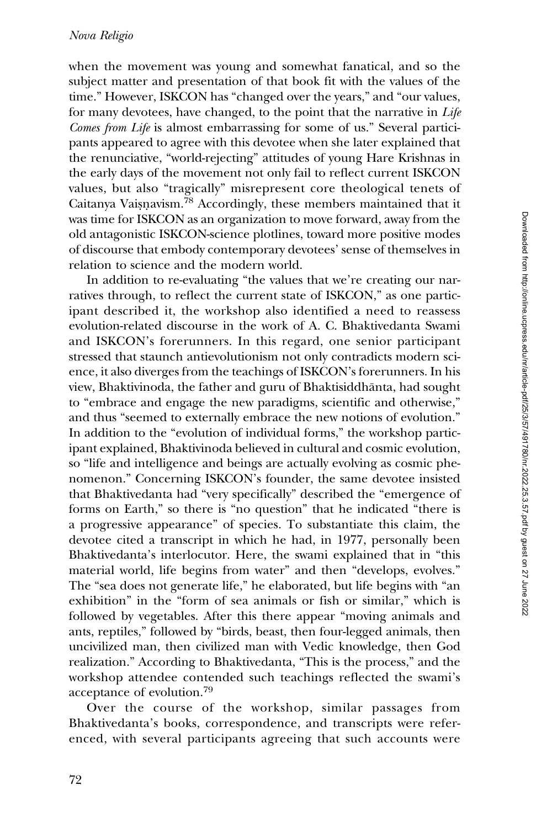when the movement was young and somewhat fanatical, and so the subject matter and presentation of that book fit with the values of the time." However, ISKCON has "changed over the years," and "our values, for many devotees, have changed, to the point that the narrative in Life Comes from Life is almost embarrassing for some of us." Several participants appeared to agree with this devotee when she later explained that the renunciative, "world-rejecting" attitudes of young Hare Krishnas in the early days of the movement not only fail to reflect current ISKCON values, but also "tragically" misrepresent core theological tenets of Caitanya Vaisnavism.<sup>78</sup> Accordingly, these members maintained that it was time for ISKCON as an organization to move forward, away from the old antagonistic ISKCON-science plotlines, toward more positive modes of discourse that embody contemporary devotees' sense of themselves in relation to science and the modern world.

In addition to re-evaluating "the values that we're creating our narratives through, to reflect the current state of ISKCON," as one participant described it, the workshop also identified a need to reassess evolution-related discourse in the work of A. C. Bhaktivedanta Swami and ISKCON's forerunners. In this regard, one senior participant stressed that staunch antievolutionism not only contradicts modern science, it also diverges from the teachings of ISKCON's forerunners. In his view, Bhaktivinoda, the father and guru of Bhaktisiddhanta, had sought ¯ to "embrace and engage the new paradigms, scientific and otherwise," and thus "seemed to externally embrace the new notions of evolution." In addition to the "evolution of individual forms," the workshop participant explained, Bhaktivinoda believed in cultural and cosmic evolution, so "life and intelligence and beings are actually evolving as cosmic phenomenon." Concerning ISKCON's founder, the same devotee insisted that Bhaktivedanta had "very specifically" described the "emergence of forms on Earth," so there is "no question" that he indicated "there is a progressive appearance" of species. To substantiate this claim, the devotee cited a transcript in which he had, in 1977, personally been Bhaktivedanta's interlocutor. Here, the swami explained that in "this material world, life begins from water" and then "develops, evolves." The "sea does not generate life," he elaborated, but life begins with "an exhibition" in the "form of sea animals or fish or similar," which is followed by vegetables. After this there appear "moving animals and ants, reptiles," followed by "birds, beast, then four-legged animals, then uncivilized man, then civilized man with Vedic knowledge, then God realization." According to Bhaktivedanta, "This is the process," and the workshop attendee contended such teachings reflected the swami's acceptance of evolution.<sup>79</sup>

Over the course of the workshop, similar passages from Bhaktivedanta's books, correspondence, and transcripts were referenced, with several participants agreeing that such accounts were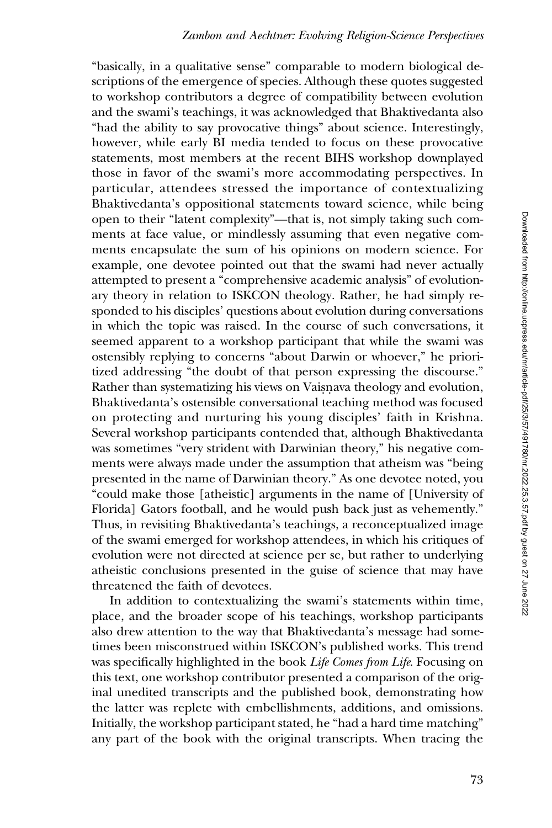"basically, in a qualitative sense" comparable to modern biological descriptions of the emergence of species. Although these quotes suggested to workshop contributors a degree of compatibility between evolution and the swami's teachings, it was acknowledged that Bhaktivedanta also "had the ability to say provocative things" about science. Interestingly, however, while early BI media tended to focus on these provocative statements, most members at the recent BIHS workshop downplayed those in favor of the swami's more accommodating perspectives. In particular, attendees stressed the importance of contextualizing Bhaktivedanta's oppositional statements toward science, while being open to their "latent complexity"—that is, not simply taking such comments at face value, or mindlessly assuming that even negative comments encapsulate the sum of his opinions on modern science. For example, one devotee pointed out that the swami had never actually attempted to present a "comprehensive academic analysis" of evolutionary theory in relation to ISKCON theology. Rather, he had simply responded to his disciples' questions about evolution during conversations in which the topic was raised. In the course of such conversations, it seemed apparent to a workshop participant that while the swami was ostensibly replying to concerns "about Darwin or whoever," he prioritized addressing "the doubt of that person expressing the discourse." Rather than systematizing his views on Vaisnava theology and evolution, Bhaktivedanta's ostensible conversational teaching method was focused on protecting and nurturing his young disciples' faith in Krishna. Several workshop participants contended that, although Bhaktivedanta was sometimes "very strident with Darwinian theory," his negative comments were always made under the assumption that atheism was "being presented in the name of Darwinian theory." As one devotee noted, you "could make those [atheistic] arguments in the name of [University of Florida] Gators football, and he would push back just as vehemently." Thus, in revisiting Bhaktivedanta's teachings, a reconceptualized image of the swami emerged for workshop attendees, in which his critiques of evolution were not directed at science per se, but rather to underlying atheistic conclusions presented in the guise of science that may have threatened the faith of devotees.

In addition to contextualizing the swami's statements within time, place, and the broader scope of his teachings, workshop participants also drew attention to the way that Bhaktivedanta's message had sometimes been misconstrued within ISKCON's published works. This trend was specifically highlighted in the book Life Comes from Life. Focusing on this text, one workshop contributor presented a comparison of the original unedited transcripts and the published book, demonstrating how the latter was replete with embellishments, additions, and omissions. Initially, the workshop participant stated, he "had a hard time matching" any part of the book with the original transcripts. When tracing the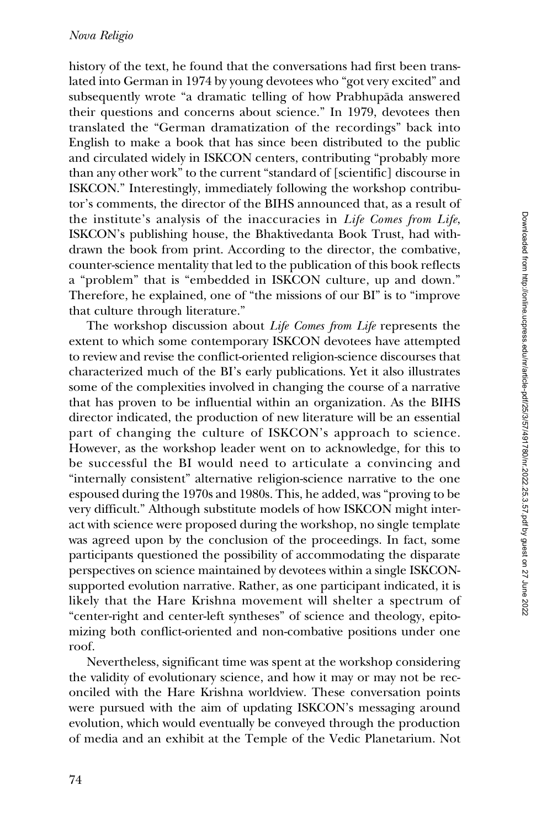history of the text, he found that the conversations had first been translated into German in 1974 by young devotees who "got very excited" and subsequently wrote "a dramatic telling of how Prabhupāda answered their questions and concerns about science." In 1979, devotees then translated the "German dramatization of the recordings" back into English to make a book that has since been distributed to the public and circulated widely in ISKCON centers, contributing "probably more than any other work" to the current "standard of [scientific] discourse in ISKCON." Interestingly, immediately following the workshop contributor's comments, the director of the BIHS announced that, as a result of the institute's analysis of the inaccuracies in Life Comes from Life, ISKCON's publishing house, the Bhaktivedanta Book Trust, had withdrawn the book from print. According to the director, the combative, counter-science mentality that led to the publication of this book reflects a "problem" that is "embedded in ISKCON culture, up and down." Therefore, he explained, one of "the missions of our BI" is to "improve that culture through literature."

The workshop discussion about Life Comes from Life represents the extent to which some contemporary ISKCON devotees have attempted to review and revise the conflict-oriented religion-science discourses that characterized much of the BI's early publications. Yet it also illustrates some of the complexities involved in changing the course of a narrative that has proven to be influential within an organization. As the BIHS director indicated, the production of new literature will be an essential part of changing the culture of ISKCON's approach to science. However, as the workshop leader went on to acknowledge, for this to be successful the BI would need to articulate a convincing and "internally consistent" alternative religion-science narrative to the one espoused during the 1970s and 1980s. This, he added, was "proving to be very difficult." Although substitute models of how ISKCON might interact with science were proposed during the workshop, no single template was agreed upon by the conclusion of the proceedings. In fact, some participants questioned the possibility of accommodating the disparate perspectives on science maintained by devotees within a single ISKCONsupported evolution narrative. Rather, as one participant indicated, it is likely that the Hare Krishna movement will shelter a spectrum of "center-right and center-left syntheses" of science and theology, epitomizing both conflict-oriented and non-combative positions under one roof.

Nevertheless, significant time was spent at the workshop considering the validity of evolutionary science, and how it may or may not be reconciled with the Hare Krishna worldview. These conversation points were pursued with the aim of updating ISKCON's messaging around evolution, which would eventually be conveyed through the production of media and an exhibit at the Temple of the Vedic Planetarium. Not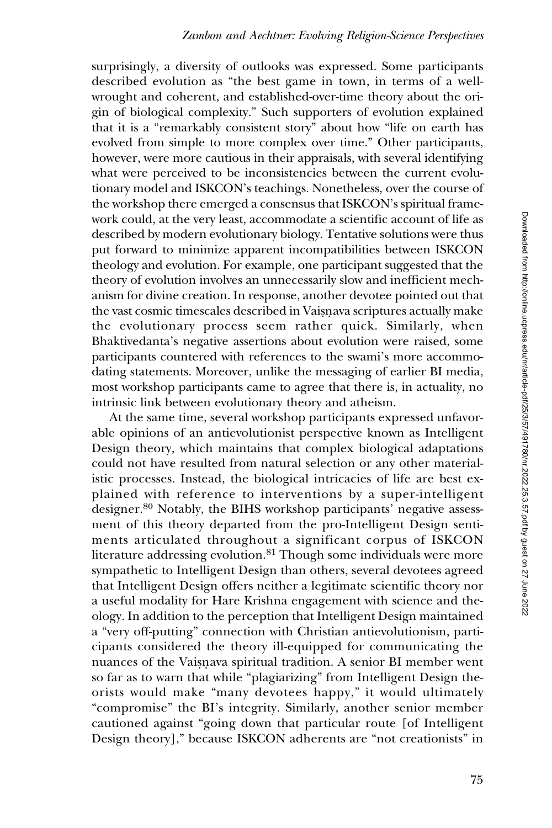surprisingly, a diversity of outlooks was expressed. Some participants described evolution as "the best game in town, in terms of a wellwrought and coherent, and established-over-time theory about the origin of biological complexity." Such supporters of evolution explained that it is a "remarkably consistent story" about how "life on earth has evolved from simple to more complex over time." Other participants, however, were more cautious in their appraisals, with several identifying what were perceived to be inconsistencies between the current evolutionary model and ISKCON's teachings. Nonetheless, over the course of the workshop there emerged a consensus that ISKCON's spiritual framework could, at the very least, accommodate a scientific account of life as described by modern evolutionary biology. Tentative solutions were thus put forward to minimize apparent incompatibilities between ISKCON theology and evolution. For example, one participant suggested that the theory of evolution involves an unnecessarily slow and inefficient mechanism for divine creation. In response, another devotee pointed out that the vast cosmic timescales described in Vaisnava scriptures actually make the evolutionary process seem rather quick. Similarly, when Bhaktivedanta's negative assertions about evolution were raised, some participants countered with references to the swami's more accommodating statements. Moreover, unlike the messaging of earlier BI media, most workshop participants came to agree that there is, in actuality, no intrinsic link between evolutionary theory and atheism.

At the same time, several workshop participants expressed unfavorable opinions of an antievolutionist perspective known as Intelligent Design theory, which maintains that complex biological adaptations could not have resulted from natural selection or any other materialistic processes. Instead, the biological intricacies of life are best explained with reference to interventions by a super-intelligent designer.<sup>80</sup> Notably, the BIHS workshop participants' negative assessment of this theory departed from the pro-Intelligent Design sentiments articulated throughout a significant corpus of ISKCON literature addressing evolution.<sup>81</sup> Though some individuals were more sympathetic to Intelligent Design than others, several devotees agreed that Intelligent Design offers neither a legitimate scientific theory nor a useful modality for Hare Krishna engagement with science and theology. In addition to the perception that Intelligent Design maintained a "very off-putting" connection with Christian antievolutionism, participants considered the theory ill-equipped for communicating the nuances of the Vaisnava spiritual tradition. A senior BI member went so far as to warn that while "plagiarizing" from Intelligent Design theorists would make "many devotees happy," it would ultimately "compromise" the BI's integrity. Similarly, another senior member cautioned against "going down that particular route [of Intelligent Design theory]," because ISKCON adherents are "not creationists" in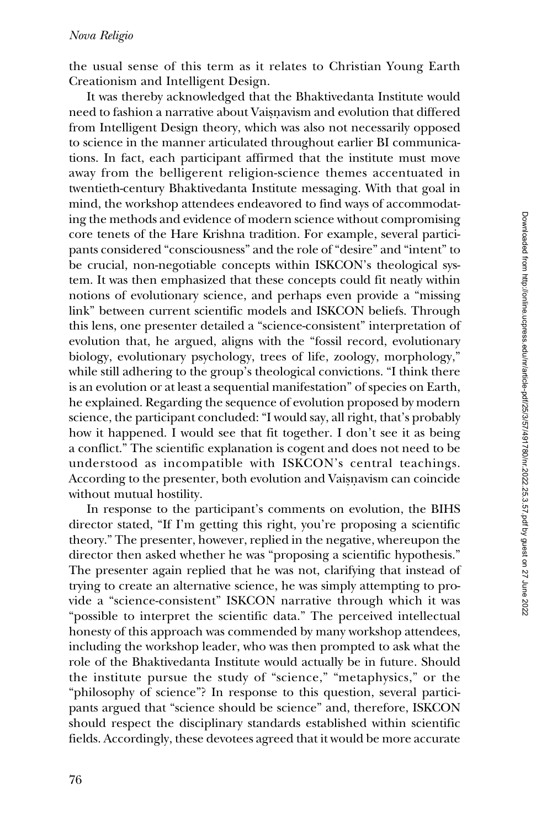the usual sense of this term as it relates to Christian Young Earth Creationism and Intelligent Design.

It was thereby acknowledged that the Bhaktivedanta Institute would need to fashion a narrative about Vaisnavism and evolution that differed from Intelligent Design theory, which was also not necessarily opposed to science in the manner articulated throughout earlier BI communications. In fact, each participant affirmed that the institute must move away from the belligerent religion-science themes accentuated in twentieth-century Bhaktivedanta Institute messaging. With that goal in mind, the workshop attendees endeavored to find ways of accommodating the methods and evidence of modern science without compromising core tenets of the Hare Krishna tradition. For example, several participants considered "consciousness" and the role of "desire" and "intent" to be crucial, non-negotiable concepts within ISKCON's theological system. It was then emphasized that these concepts could fit neatly within notions of evolutionary science, and perhaps even provide a "missing link" between current scientific models and ISKCON beliefs. Through this lens, one presenter detailed a "science-consistent" interpretation of evolution that, he argued, aligns with the "fossil record, evolutionary biology, evolutionary psychology, trees of life, zoology, morphology," while still adhering to the group's theological convictions. "I think there is an evolution or at least a sequential manifestation" of species on Earth, he explained. Regarding the sequence of evolution proposed by modern science, the participant concluded: "I would say, all right, that's probably how it happened. I would see that fit together. I don't see it as being a conflict." The scientific explanation is cogent and does not need to be understood as incompatible with ISKCON's central teachings. According to the presenter, both evolution and Vaisnavism can coincide without mutual hostility.

In response to the participant's comments on evolution, the BIHS director stated, "If I'm getting this right, you're proposing a scientific theory." The presenter, however, replied in the negative, whereupon the director then asked whether he was "proposing a scientific hypothesis." The presenter again replied that he was not, clarifying that instead of trying to create an alternative science, he was simply attempting to provide a "science-consistent" ISKCON narrative through which it was "possible to interpret the scientific data." The perceived intellectual honesty of this approach was commended by many workshop attendees, including the workshop leader, who was then prompted to ask what the role of the Bhaktivedanta Institute would actually be in future. Should the institute pursue the study of "science," "metaphysics," or the "philosophy of science"? In response to this question, several participants argued that "science should be science" and, therefore, ISKCON should respect the disciplinary standards established within scientific fields. Accordingly, these devotees agreed that it would be more accurate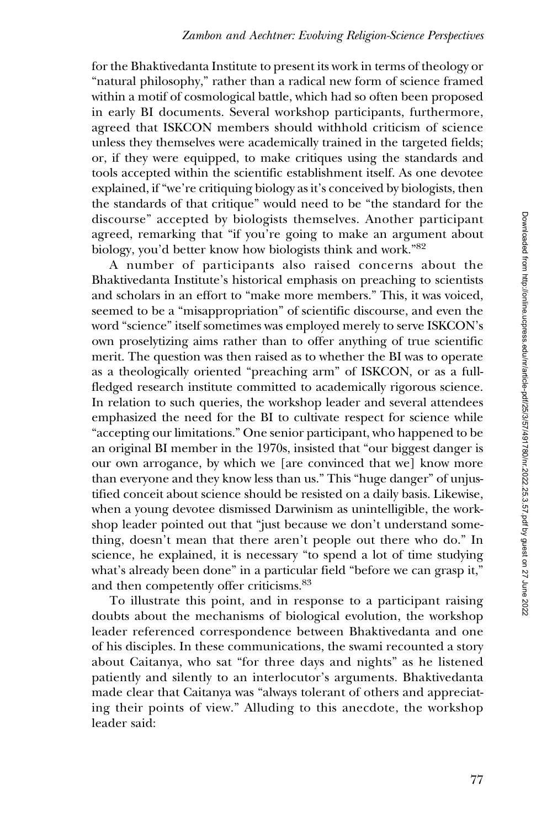for the Bhaktivedanta Institute to present its work in terms of theology or "natural philosophy," rather than a radical new form of science framed within a motif of cosmological battle, which had so often been proposed in early BI documents. Several workshop participants, furthermore, agreed that ISKCON members should withhold criticism of science unless they themselves were academically trained in the targeted fields; or, if they were equipped, to make critiques using the standards and tools accepted within the scientific establishment itself. As one devotee explained, if "we're critiquing biology as it's conceived by biologists, then the standards of that critique" would need to be "the standard for the discourse" accepted by biologists themselves. Another participant agreed, remarking that "if you're going to make an argument about biology, you'd better know how biologists think and work."82

A number of participants also raised concerns about the Bhaktivedanta Institute's historical emphasis on preaching to scientists and scholars in an effort to "make more members." This, it was voiced, seemed to be a "misappropriation" of scientific discourse, and even the word "science" itself sometimes was employed merely to serve ISKCON's own proselytizing aims rather than to offer anything of true scientific merit. The question was then raised as to whether the BI was to operate as a theologically oriented "preaching arm" of ISKCON, or as a fullfledged research institute committed to academically rigorous science. In relation to such queries, the workshop leader and several attendees emphasized the need for the BI to cultivate respect for science while "accepting our limitations." One senior participant, who happened to be an original BI member in the 1970s, insisted that "our biggest danger is our own arrogance, by which we [are convinced that we] know more than everyone and they know less than us." This "huge danger" of unjustified conceit about science should be resisted on a daily basis. Likewise, when a young devotee dismissed Darwinism as unintelligible, the workshop leader pointed out that "just because we don't understand something, doesn't mean that there aren't people out there who do." In science, he explained, it is necessary "to spend a lot of time studying what's already been done" in a particular field "before we can grasp it," and then competently offer criticisms.<sup>83</sup>

To illustrate this point, and in response to a participant raising doubts about the mechanisms of biological evolution, the workshop leader referenced correspondence between Bhaktivedanta and one of his disciples. In these communications, the swami recounted a story about Caitanya, who sat "for three days and nights" as he listened patiently and silently to an interlocutor's arguments. Bhaktivedanta made clear that Caitanya was "always tolerant of others and appreciating their points of view." Alluding to this anecdote, the workshop leader said: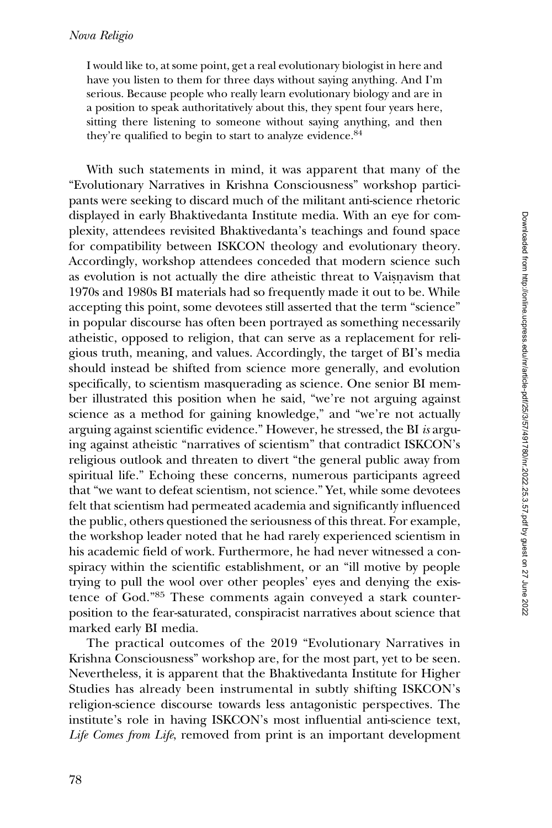I would like to, at some point, get a real evolutionary biologist in here and have you listen to them for three days without saying anything. And I'm serious. Because people who really learn evolutionary biology and are in a position to speak authoritatively about this, they spent four years here, sitting there listening to someone without saying anything, and then they're qualified to begin to start to analyze evidence.<sup>84</sup>

With such statements in mind, it was apparent that many of the "Evolutionary Narratives in Krishna Consciousness" workshop participants were seeking to discard much of the militant anti-science rhetoric displayed in early Bhaktivedanta Institute media. With an eye for complexity, attendees revisited Bhaktivedanta's teachings and found space for compatibility between ISKCON theology and evolutionary theory. Accordingly, workshop attendees conceded that modern science such as evolution is not actually the dire atheistic threat to Vaisnavism that 1970s and 1980s BI materials had so frequently made it out to be. While accepting this point, some devotees still asserted that the term "science" in popular discourse has often been portrayed as something necessarily atheistic, opposed to religion, that can serve as a replacement for religious truth, meaning, and values. Accordingly, the target of BI's media should instead be shifted from science more generally, and evolution specifically, to scientism masquerading as science. One senior BI member illustrated this position when he said, "we're not arguing against science as a method for gaining knowledge," and "we're not actually arguing against scientific evidence." However, he stressed, the BI is arguing against atheistic "narratives of scientism" that contradict ISKCON's religious outlook and threaten to divert "the general public away from spiritual life." Echoing these concerns, numerous participants agreed that "we want to defeat scientism, not science." Yet, while some devotees felt that scientism had permeated academia and significantly influenced the public, others questioned the seriousness of this threat. For example, the workshop leader noted that he had rarely experienced scientism in his academic field of work. Furthermore, he had never witnessed a conspiracy within the scientific establishment, or an "ill motive by people trying to pull the wool over other peoples' eyes and denying the existence of God."85 These comments again conveyed a stark counterposition to the fear-saturated, conspiracist narratives about science that marked early BI media.

The practical outcomes of the 2019 "Evolutionary Narratives in Krishna Consciousness" workshop are, for the most part, yet to be seen. Nevertheless, it is apparent that the Bhaktivedanta Institute for Higher Studies has already been instrumental in subtly shifting ISKCON's religion-science discourse towards less antagonistic perspectives. The institute's role in having ISKCON's most influential anti-science text, Life Comes from Life, removed from print is an important development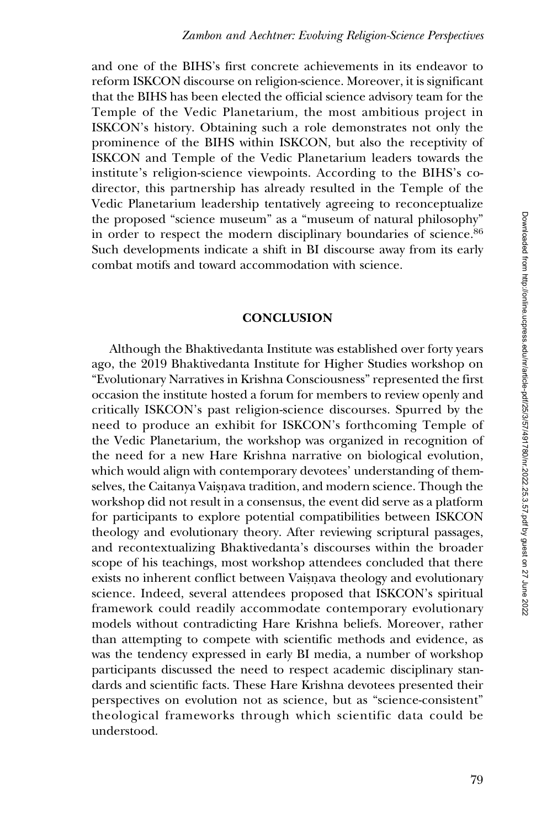and one of the BIHS's first concrete achievements in its endeavor to reform ISKCON discourse on religion-science. Moreover, it is significant that the BIHS has been elected the official science advisory team for the Temple of the Vedic Planetarium, the most ambitious project in ISKCON's history. Obtaining such a role demonstrates not only the prominence of the BIHS within ISKCON, but also the receptivity of ISKCON and Temple of the Vedic Planetarium leaders towards the institute's religion-science viewpoints. According to the BIHS's codirector, this partnership has already resulted in the Temple of the Vedic Planetarium leadership tentatively agreeing to reconceptualize the proposed "science museum" as a "museum of natural philosophy" in order to respect the modern disciplinary boundaries of science.<sup>86</sup> Such developments indicate a shift in BI discourse away from its early combat motifs and toward accommodation with science.

#### **CONCLUSION**

Although the Bhaktivedanta Institute was established over forty years ago, the 2019 Bhaktivedanta Institute for Higher Studies workshop on "Evolutionary Narratives in Krishna Consciousness" represented the first occasion the institute hosted a forum for members to review openly and critically ISKCON's past religion-science discourses. Spurred by the need to produce an exhibit for ISKCON's forthcoming Temple of the Vedic Planetarium, the workshop was organized in recognition of the need for a new Hare Krishna narrative on biological evolution, which would align with contemporary devotees' understanding of themselves, the Caitanya Vaisnava tradition, and modern science. Though the workshop did not result in a consensus, the event did serve as a platform for participants to explore potential compatibilities between ISKCON theology and evolutionary theory. After reviewing scriptural passages, and recontextualizing Bhaktivedanta's discourses within the broader scope of his teachings, most workshop attendees concluded that there exists no inherent conflict between Vaisnava theology and evolutionary science. Indeed, several attendees proposed that ISKCON's spiritual framework could readily accommodate contemporary evolutionary models without contradicting Hare Krishna beliefs. Moreover, rather than attempting to compete with scientific methods and evidence, as was the tendency expressed in early BI media, a number of workshop participants discussed the need to respect academic disciplinary standards and scientific facts. These Hare Krishna devotees presented their perspectives on evolution not as science, but as "science-consistent" theological frameworks through which scientific data could be understood.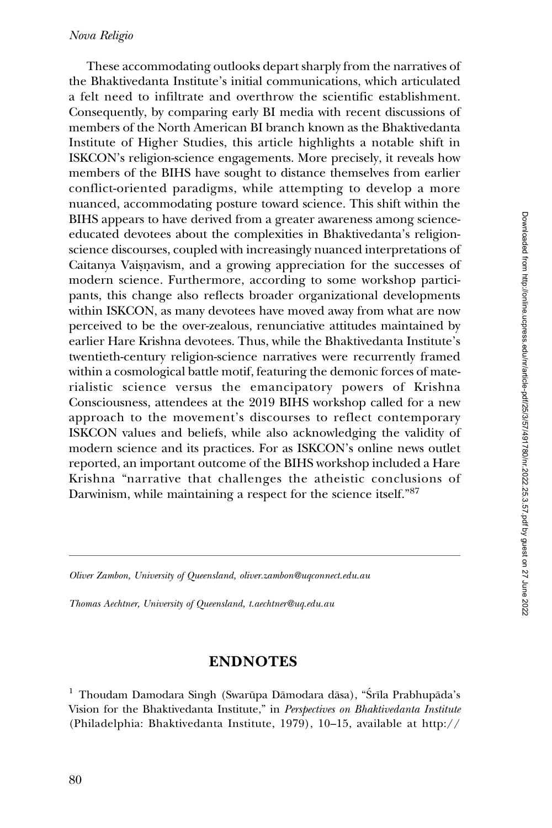These accommodating outlooks depart sharply from the narratives of the Bhaktivedanta Institute's initial communications, which articulated a felt need to infiltrate and overthrow the scientific establishment. Consequently, by comparing early BI media with recent discussions of members of the North American BI branch known as the Bhaktivedanta Institute of Higher Studies, this article highlights a notable shift in ISKCON's religion-science engagements. More precisely, it reveals how members of the BIHS have sought to distance themselves from earlier conflict-oriented paradigms, while attempting to develop a more nuanced, accommodating posture toward science. This shift within the BIHS appears to have derived from a greater awareness among scienceeducated devotees about the complexities in Bhaktivedanta's religionscience discourses, coupled with increasingly nuanced interpretations of Caitanya Vaisnavism, and a growing appreciation for the successes of modern science. Furthermore, according to some workshop participants, this change also reflects broader organizational developments within ISKCON, as many devotees have moved away from what are now perceived to be the over-zealous, renunciative attitudes maintained by earlier Hare Krishna devotees. Thus, while the Bhaktivedanta Institute's twentieth-century religion-science narratives were recurrently framed within a cosmological battle motif, featuring the demonic forces of materialistic science versus the emancipatory powers of Krishna Consciousness, attendees at the 2019 BIHS workshop called for a new approach to the movement's discourses to reflect contemporary ISKCON values and beliefs, while also acknowledging the validity of modern science and its practices. For as ISKCON's online news outlet reported, an important outcome of the BIHS workshop included a Hare Krishna "narrative that challenges the atheistic conclusions of Darwinism, while maintaining a respect for the science itself."87

Oliver Zambon, University of Queensland, oliver.zambon@uqconnect.edu.au

Thomas Aechtner, University of Queensland, t.aechtner@uq.edu.au

### ENDNOTES

<sup>1</sup> Thoudam Damodara Singh (Swarūpa Dāmodara dāsa), "Śrīla Prabhupāda's Vision for the Bhaktivedanta Institute," in Perspectives on Bhaktivedanta Institute (Philadelphia: Bhaktivedanta Institute, 1979), 10–15, available at [http://](http://richardlthompson.com/sites/default/files/1979_Perspectives_Bhaktivedanta_Institute.pdf)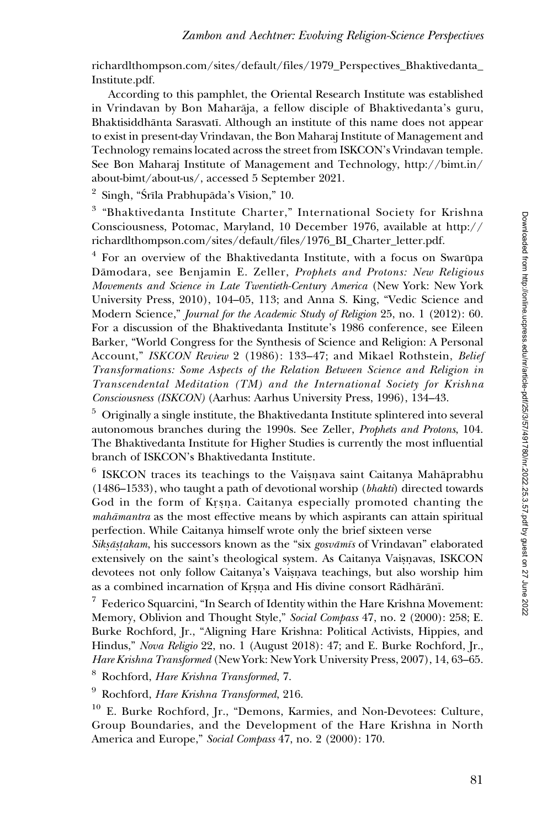[richardlthompson.com/sites/default/files/1979\\_Perspectives\\_Bhaktivedanta\\_](http://richardlthompson.com/sites/default/files/1979_Perspectives_Bhaktivedanta_Institute.pdf) [Institute.pdf](http://richardlthompson.com/sites/default/files/1979_Perspectives_Bhaktivedanta_Institute.pdf).

According to this pamphlet, the Oriental Research Institute was established in Vrindavan by Bon Maharāja, a fellow disciple of Bhaktivedanta's guru, Bhaktisiddhānta Sarasvatī. Although an institute of this name does not appear to exist in present-day Vrindavan, the Bon Maharaj Institute of Management and Technology remains located across the street from ISKCON's Vrindavan temple. See Bon Maharaj Institute of Management and Technology, [http://bimt.in/](http://bimt.in/about-bimt/about-us/) [about-bimt/about-us/,](http://bimt.in/about-bimt/about-us/) accessed 5 September 2021.

 $2$  Singh, "Srīla Prabhupāda's Vision," 10.

<sup>3</sup> "Bhaktivedanta Institute Charter," International Society for Krishna Consciousness, Potomac, Maryland, 10 December 1976, available at [http://](http://richardlthompson.com/sites/default/files/1976_BI_Charter_letter.pdf) [richardlthompson.com/sites/default/files/1976\\_BI\\_Charter\\_letter.pdf](http://richardlthompson.com/sites/default/files/1976_BI_Charter_letter.pdf).

 $4$  For an overview of the Bhaktivedanta Institute, with a focus on Swarūpa Dāmodara, see Benjamin E. Zeller, Prophets and Protons: New Religious Movements and Science in Late Twentieth-Century America (New York: New York University Press, 2010), 104–05, 113; and Anna S. King, "Vedic Science and Modern Science," Journal for the Academic Study of Religion 25, no. 1 (2012): 60. For a discussion of the Bhaktivedanta Institute's 1986 conference, see Eileen Barker, "World Congress for the Synthesis of Science and Religion: A Personal Account," ISKCON Review 2 (1986): 133-47; and Mikael Rothstein, Belief Transformations: Some Aspects of the Relation Between Science and Religion in Transcendental Meditation (TM) and the International Society for Krishna Consciousness (ISKCON) (Aarhus: Aarhus University Press, 1996), 134–43.

<sup>5</sup> Originally a single institute, the Bhaktivedanta Institute splintered into several autonomous branches during the 1990s. See Zeller, Prophets and Protons, 104. The Bhaktivedanta Institute for Higher Studies is currently the most influential branch of ISKCON's Bhaktivedanta Institute.

ISKCON traces its teachings to the Vaisnava saint Caitanya Mahāprabhu (1486–1533), who taught a path of devotional worship (bhakti) directed towards God in the form of Krsna. Caitanya especially promoted chanting the mahāmantra as the most effective means by which aspirants can attain spiritual perfection. While Caitanya himself wrote only the brief sixteen verse

Siksāstakam, his successors known as the "six gosvāmīs of Vrindavan" elaborated extensively on the saint's theological system. As Caitanya Vaisnavas, ISKCON devotees not only follow Caitanya's Vaisnava teachings, but also worship him as a combined incarnation of Krṣṇa and His divine consort Rādhārānī.

 $7$  Federico Squarcini, "In Search of Identity within the Hare Krishna Movement: Memory, Oblivion and Thought Style," Social Compass 47, no. 2 (2000): 258; E. Burke Rochford, Jr., "Aligning Hare Krishna: Political Activists, Hippies, and Hindus," Nova Religio 22, no. 1 (August 2018): 47; and E. Burke Rochford, Jr., Hare Krishna Transformed (New York: New York University Press, 2007), 14, 63–65.

<sup>8</sup> Rochford, Hare Krishna Transformed, 7.

 $9$  Rochford, Hare Krishna Transformed, 216.

<sup>10</sup> E. Burke Rochford, Jr., "Demons, Karmies, and Non-Devotees: Culture, Group Boundaries, and the Development of the Hare Krishna in North America and Europe," Social Compass 47, no. 2 (2000): 170.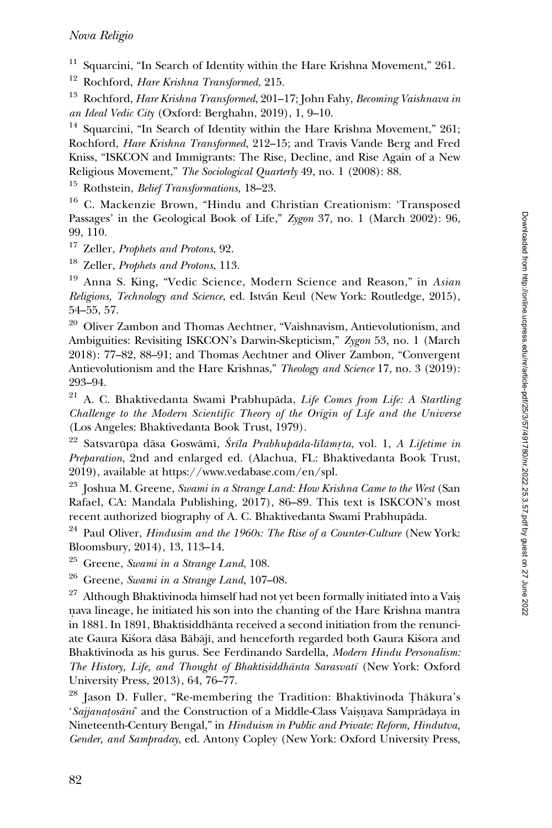Squarcini, "In Search of Identity within the Hare Krishna Movement," 261.

<sup>12</sup> Rochford, Hare Krishna Transformed, 215.

<sup>13</sup> Rochford, Hare Krishna Transformed, 201–17; John Fahy, Becoming Vaishnava in an Ideal Vedic City (Oxford: Berghahn, 2019), 1, 9–10.

Squarcini, "In Search of Identity within the Hare Krishna Movement," 261; Rochford, Hare Krishna Transformed, 212–15; and Travis Vande Berg and Fred Kniss, "ISKCON and Immigrants: The Rise, Decline, and Rise Again of a New Religious Movement," The Sociological Quarterly 49, no. 1 (2008): 88.

<sup>15</sup> Rothstein, *Belief Transformations*, 18–23.

<sup>16</sup> C. Mackenzie Brown, "Hindu and Christian Creationism: 'Transposed Passages' in the Geological Book of Life," Zygon 37, no. 1 (March 2002): 96, 99, 110.

<sup>17</sup> Zeller, Prophets and Protons, 92.

<sup>18</sup> Zeller, Prophets and Protons, 113.

<sup>19</sup> Anna S. King, "Vedic Science, Modern Science and Reason," in Asian Religions, Technology and Science, ed. István Keul (New York: Routledge, 2015), 54–55, 57.

<sup>20</sup> Oliver Zambon and Thomas Aechtner, "Vaishnavism, Antievolutionism, and Ambiguities: Revisiting ISKCON's Darwin-Skepticism," Zygon 53, no. 1 (March 2018): 77–82, 88–91; and Thomas Aechtner and Oliver Zambon, "Convergent Antievolutionism and the Hare Krishnas," Theology and Science 17, no. 3 (2019): 293–94.

 $21$  A. C. Bhaktivedanta Swami Prabhupāda, Life Comes from Life: A Startling Challenge to the Modern Scientific Theory of the Origin of Life and the Universe (Los Angeles: Bhaktivedanta Book Trust, 1979).

 $^{22}$  Satsvarūpa dāsa Goswāmī, Śrīla Prabhupāda-līlāmrta, vol. 1, A Lifetime in Preparation, 2nd and enlarged ed. (Alachua, FL: Bhaktivedanta Book Trust, 2019), available at<https://www.vedabase.com/en/spl>.

<sup>23</sup> Joshua M. Greene, Swami in a Strange Land: How Krishna Came to the West (San Rafael, CA: Mandala Publishing, 2017), 86–89. This text is ISKCON's most recent authorized biography of A. C. Bhaktivedanta Swami Prabhupada. ¯

 $24$  Paul Oliver, *Hindusim and the 1960s: The Rise of a Counter-Culture* (New York: Bloomsbury, 2014), 13, 113–14.

 $25$  Greene, Swami in a Strange Land, 108.

 $26$  Greene, Swami in a Strange Land, 107–08.

 $27$  Although Bhaktivinoda himself had not yet been formally initiated into a Vais. n. ava lineage, he initiated his son into the chanting of the Hare Krishna mantra in 1881. In 1891, Bhaktisiddhanta received a second initiation from the renunci- ¯ ate Gaura Kiśora dāsa Bābājī, and henceforth regarded both Gaura Kiśora and Bhaktivinoda as his gurus. See Ferdinando Sardella, Modern Hindu Personalism: The History, Life, and Thought of Bhaktisiddhānta Sarasvatī (New York: Oxford University Press, 2013), 64, 76–77.

 $^{28}$  Jason D. Fuller, "Re-membering the Tradition: Bhaktivinoda Thākura's 'Sajjanatosāni' and the Construction of a Middle-Class Vaisnava Samprādaya in Nineteenth-Century Bengal," in Hinduism in Public and Private: Reform, Hindutva, Gender, and Sampraday, ed. Antony Copley (New York: Oxford University Press,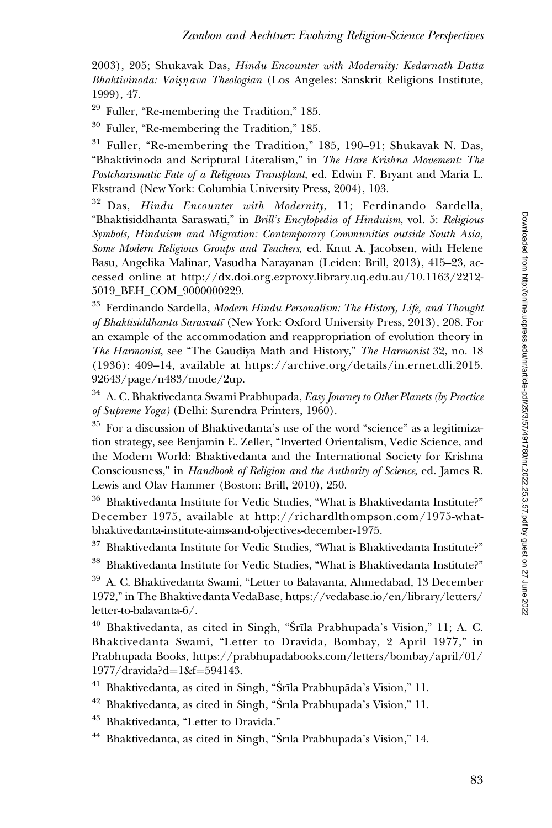2003), 205; Shukavak Das, Hindu Encounter with Modernity: Kedarnath Datta Bhaktivinoda: Vaisnava Theologian (Los Angeles: Sanskrit Religions Institute, 1999), 47.

 $29$  Fuller, "Re-membering the Tradition," 185.

<sup>30</sup> Fuller, "Re-membering the Tradition," 185.

 $31$  Fuller, "Re-membering the Tradition," 185, 190–91; Shukavak N. Das, "Bhaktivinoda and Scriptural Literalism," in The Hare Krishna Movement: The Postcharismatic Fate of a Religious Transplant, ed. Edwin F. Bryant and Maria L. Ekstrand (New York: Columbia University Press, 2004), 103.

<sup>32</sup> Das, Hindu Encounter with Modernity, 11; Ferdinando Sardella, "Bhaktisiddhanta Saraswati," in Brill's Encylopedia of Hinduism, vol. 5: Religious Symbols, Hinduism and Migration: Contemporary Communities outside South Asia, Some Modern Religious Groups and Teachers, ed. Knut A. Jacobsen, with Helene Basu, Angelika Malinar, Vasudha Narayanan (Leiden: Brill, 2013), 415–23, accessed online at [http://dx.doi.org.ezproxy.library.uq.edu.au/10.1163/2212-](http://dx.doi.org.ezproxy.library.uq.edu.au/10.1163/2212-5019_BEH_COM_9000000229) [5019\\_BEH\\_COM\\_9000000229.](http://dx.doi.org.ezproxy.library.uq.edu.au/10.1163/2212-5019_BEH_COM_9000000229)

 $33$  Ferdinando Sardella, Modern Hindu Personalism: The History, Life, and Thought of Bhaktisiddhānta Sarasvatī (New York: Oxford University Press, 2013), 208. For an example of the accommodation and reappropriation of evolution theory in The Harmonist, see "The Gaudiya Math and History," The Harmonist 32, no. 18 (1936): 409–14, available at [https://archive.org/details/in.ernet.dli.2015.](https://archive.org/details/in.ernet.dli.2015.92643/page/n483/mode/2up) [92643/page/n483/mode/2up.](https://archive.org/details/in.ernet.dli.2015.92643/page/n483/mode/2up)

A. C. Bhaktivedanta Swami Prabhupāda, Easy Journey to Other Planets (by Practice of Supreme Yoga) (Delhi: Surendra Printers, 1960).

 $35$  For a discussion of Bhaktivedanta's use of the word "science" as a legitimization strategy, see Benjamin E. Zeller, "Inverted Orientalism, Vedic Science, and the Modern World: Bhaktivedanta and the International Society for Krishna Consciousness," in Handbook of Religion and the Authority of Science, ed. James R. Lewis and Olav Hammer (Boston: Brill, 2010), 250.

<sup>36</sup> Bhaktivedanta Institute for Vedic Studies, "What is Bhaktivedanta Institute?" December 1975, available at [http://richardlthompson.com/1975-what](http://richardlthompson.com/1975-what-bhaktivedanta-institute-aims-and-objectives-december-1975)[bhaktivedanta-institute-aims-and-objectives-december-1975](http://richardlthompson.com/1975-what-bhaktivedanta-institute-aims-and-objectives-december-1975).

<sup>37</sup> Bhaktivedanta Institute for Vedic Studies, "What is Bhaktivedanta Institute?"

<sup>38</sup> Bhaktivedanta Institute for Vedic Studies, "What is Bhaktivedanta Institute?"

<sup>39</sup> A. C. Bhaktivedanta Swami, "Letter to Balavanta, Ahmedabad, 13 December 1972," in The Bhaktivedanta VedaBase, [https://vedabase.io/en/library/letters/](https://vedabase.io/en/library/letters/letter-to-balavanta-6/) [letter-to-balavanta-6/.](https://vedabase.io/en/library/letters/letter-to-balavanta-6/)

 $40$  Bhaktivedanta, as cited in Singh, "Srīla Prabhupāda's Vision," 11; A. C. Bhaktivedanta Swami, "Letter to Dravida, Bombay, 2 April 1977," in Prabhupada Books, [https://prabhupadabooks.com/letters/bombay/april/01/](https://prabhupadabooks.com/letters/bombay/april/01/1977/dravida? d=1&f=594143) [1977/dravida?d](https://prabhupadabooks.com/letters/bombay/april/01/1977/dravida? d=1&f=594143)=[1&f](https://prabhupadabooks.com/letters/bombay/april/01/1977/dravida? d=1&f=594143)=[594143.](https://prabhupadabooks.com/letters/bombay/april/01/1977/dravida? d=1&f=594143)

 $41$  Bhaktivedanta, as cited in Singh, "Śrīla Prabhupāda's Vision," 11.

 $42$  Bhaktivedanta, as cited in Singh, "Śrīla Prabhupāda's Vision," 11.

<sup>43</sup> Bhaktivedanta, "Letter to Dravida."

 $44$  Bhaktivedanta, as cited in Singh, "Śrīla Prabhupāda's Vision," 14.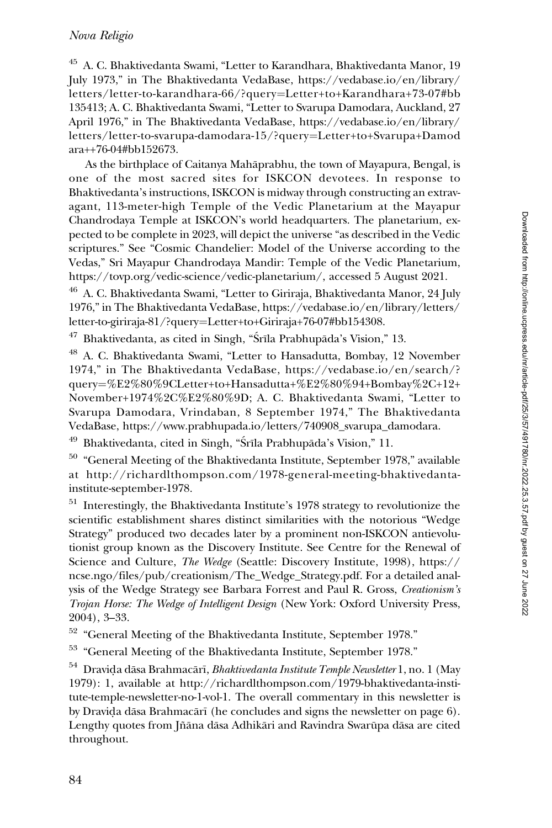#### Nova Religio

<sup>45</sup> A. C. Bhaktivedanta Swami, "Letter to Karandhara, Bhaktivedanta Manor, 19 July 1973," in The Bhaktivedanta VedaBase, [https://vedabase.io/en/library/](https://vedabase.io/en/library/letters/letter-to-karandhara-66/?query=Letter+to+Karandhara+73-07#bb135413;) [letters/letter-to-karandhara-66/?query](https://vedabase.io/en/library/letters/letter-to-karandhara-66/?query=Letter+to+Karandhara+73-07#bb135413;)=[Letter+to+Karandhara+73-07#bb](https://vedabase.io/en/library/letters/letter-to-karandhara-66/?query=Letter+to+Karandhara+73-07#bb135413;) [135413;](https://vedabase.io/en/library/letters/letter-to-karandhara-66/?query=Letter+to+Karandhara+73-07#bb135413;) A. C. Bhaktivedanta Swami, "Letter to Svarupa Damodara, Auckland, 27 April 1976," in The Bhaktivedanta VedaBase, https://vedabase.io/en/library/ letters/letter-to-svarupa-damodara-15/?query=Letter+to+Svarupa+Damod ara++76-04#bb152673.

As the birthplace of Caitanya Mahaprabhu, the town of Mayapura, Bengal, is ¯ one of the most sacred sites for ISKCON devotees. In response to Bhaktivedanta's instructions, ISKCON is midway through constructing an extravagant, 113-meter-high Temple of the Vedic Planetarium at the Mayapur Chandrodaya Temple at ISKCON's world headquarters. The planetarium, expected to be complete in 2023, will depict the universe "as described in the Vedic scriptures." See "Cosmic Chandelier: Model of the Universe according to the Vedas," Sri Mayapur Chandrodaya Mandir: Temple of the Vedic Planetarium, [https://tovp.org/vedic-science/vedic-planetarium/,](https://tovp.org/vedic-science/vedic-planetarium/) accessed 5 August 2021.

<sup>46</sup> A. C. Bhaktivedanta Swami, "Letter to Giriraja, Bhaktivedanta Manor, 24 July 1976," in The Bhaktivedanta VedaBase, [https://vedabase.io/en/library/letters/](https://vedabase.io/en/library/letters/letter-to-giriraja-81/?query=Letter+to+Giriraja+76-07#bb154308) [letter-to-giriraja-81/?query](https://vedabase.io/en/library/letters/letter-to-giriraja-81/?query=Letter+to+Giriraja+76-07#bb154308)=[Letter+to+Giriraja+76-07#bb154308](https://vedabase.io/en/library/letters/letter-to-giriraja-81/?query=Letter+to+Giriraja+76-07#bb154308).

 $47$  Bhaktivedanta, as cited in Singh, "Srīla Prabhupāda's Vision," 13.

<sup>48</sup> A. C. Bhaktivedanta Swami, "Letter to Hansadutta, Bombay, 12 November 1974," in The Bhaktivedanta VedaBase, [https://vedabase.io/en/search/?](https://vedabase.io/en/search/?query=%E2%80%9CLetter+to+Hansadutta+%E2%80%94+Bombay%2C+12+November+1974%2C%E2%80%9D;) [query](https://vedabase.io/en/search/?query=%E2%80%9CLetter+to+Hansadutta+%E2%80%94+Bombay%2C+12+November+1974%2C%E2%80%9D;)¼[%E2%80%9CLetter+to+Hansadutta+%E2%80%94+Bombay%2C+12+](https://vedabase.io/en/search/?query=%E2%80%9CLetter+to+Hansadutta+%E2%80%94+Bombay%2C+12+November+1974%2C%E2%80%9D;) [November+1974%2C%E2%80%9D;](https://vedabase.io/en/search/?query=%E2%80%9CLetter+to+Hansadutta+%E2%80%94+Bombay%2C+12+November+1974%2C%E2%80%9D;) [A. C. Bhaktivedanta Swami,](A. C. Bhaktivedanta Swami, “Letter to Svarupa Damodara, Vrindaban, 8 September 1974,” The Bhaktivedanta VedaBase, ) "[Letter to](A. C. Bhaktivedanta Swami, “Letter to Svarupa Damodara, Vrindaban, 8 September 1974,” The Bhaktivedanta VedaBase, ) [Svarupa Damodara, Vrindaban, 8 September 1974," The Bhaktivedanta](A. C. Bhaktivedanta Swami, “Letter to Svarupa Damodara, Vrindaban, 8 September 1974,” The Bhaktivedanta VedaBase, ) [VedaBase,](A. C. Bhaktivedanta Swami, “Letter to Svarupa Damodara, Vrindaban, 8 September 1974,” The Bhaktivedanta VedaBase, ) [https://www.prabhupada.io/letters/740908\\_svarupa\\_damodara.](https://www.prabhupada.io/letters/740908_svarupa_damodara)

 $49$  Bhaktivedanta, cited in Singh, "Srīla Prabhupāda's Vision," 11.

<sup>50</sup> "General Meeting of the Bhaktivedanta Institute, September 1978," available at [http://richardlthompson.com/1978-general-meeting-bhaktivedanta](http://richardlthompson.com/1978-general-meeting-bhaktivedanta-institute-september-1978)[institute-september-1978](http://richardlthompson.com/1978-general-meeting-bhaktivedanta-institute-september-1978).

<sup>51</sup> Interestingly, the Bhaktivedanta Institute's 1978 strategy to revolutionize the scientific establishment shares distinct similarities with the notorious "Wedge Strategy" produced two decades later by a prominent non-ISKCON antievolutionist group known as the Discovery Institute. See Centre for the Renewal of Science and Culture, The Wedge (Seattle: Discovery Institute, 1998), [https://](https://ncse.ngo/files/pub/creationism/The_Wedge_Strategy.pdf) [ncse.ngo/files/pub/creationism/The\\_Wedge\\_Strategy.pdf.](https://ncse.ngo/files/pub/creationism/The_Wedge_Strategy.pdf) For a detailed analysis of the Wedge Strategy see Barbara Forrest and Paul R. Gross, Creationism's Trojan Horse: The Wedge of Intelligent Design (New York: Oxford University Press, 2004), 3–33.

<sup>52</sup> "General Meeting of the Bhaktivedanta Institute, September 1978."

<sup>53</sup> "General Meeting of the Bhaktivedanta Institute, September 1978."

 $^{54}$  Dravida dāsa Brahmacārī, *Bhaktivedanta Institute Temple Newsletter* 1, no. 1 (May 1979): 1, available at [http://richardlthompson.com/1979-](http://richardlthompson.com/1979)bhaktivedanta-institute-temple-newsletter-no-1-vol-1. The overall commentary in this newsletter is by Dravida dāsa Brahmacārī (he concludes and signs the newsletter on page 6). Lengthy quotes from Jñāna dāsa Adhikāri and Ravindra Swarūpa dāsa are cited throughout.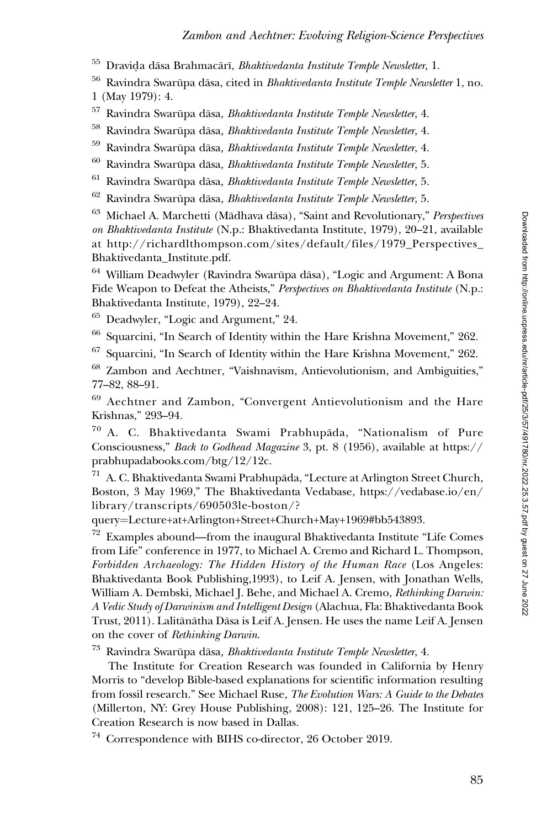$^{55}$  Dravi $\rm{da}$  dāsa Brahmacārī, *Bhaktivedanta Institute Temple Newsletter*, 1.

 $56$  Ravindra Swarūpa dāsa, cited in *Bhaktivedanta Institute Temple Newsletter* 1, no. 1 (May 1979): 4.

 $57$  Ravindra Swarūpa dāsa, Bhaktivedanta Institute Temple Newsletter, 4.

 $58$  Ravindra Swarūpa dāsa, Bhaktivedanta Institute Temple Newsletter, 4.

 $^{59}$  Ravindra Swarūpa dāsa, *Bhaktivedanta Institute Temple Newsletter*, 4.<br> $^{60}$  Devindra Swarūpa dēsa. *Bhaktivedanta Institute Temple Newsletter*, 5.

Ravindra Swarūpa dāsa, Bhaktivedanta Institute Temple Newsletter, 5.

 $61$  Ravindra Swarūpa dāsa, Bhaktivedanta Institute Temple Newsletter, 5.

Ravindra Swarūpa dāsa, Bhaktivedanta Institute Temple Newsletter, 5.

 $63$  Michael A. Marchetti (Mādhava dāsa), "Saint and Revolutionary," Perspectives on Bhaktivedanta Institute (N.p.: Bhaktivedanta Institute, 1979), 20–21, available at [http://richardlthompson.com/sites/default/files/1979\\_Perspectives\\_](http://richardlthompson.com/sites/default/files/1979_Perspectives_Bhaktivedanta_Institute.pdf) [Bhaktivedanta\\_Institute.pdf.](http://richardlthompson.com/sites/default/files/1979_Perspectives_Bhaktivedanta_Institute.pdf)

 $64$  William Deadwyler (Ravindra Swarūpa dāsa), "Logic and Argument: A Bona Fide Weapon to Defeat the Atheists," Perspectives on Bhaktivedanta Institute (N.p.: Bhaktivedanta Institute, 1979), 22–24.

<sup>65</sup> Deadwyler, "Logic and Argument," 24.

<sup>66</sup> Squarcini, "In Search of Identity within the Hare Krishna Movement," 262.

<sup>67</sup> Squarcini, "In Search of Identity within the Hare Krishna Movement," 262.

<sup>68</sup> Zambon and Aechtner, "Vaishnavism, Antievolutionism, and Ambiguities," 77–82, 88–91.

<sup>69</sup> Aechtner and Zambon, "Convergent Antievolutionism and the Hare Krishnas," 293–94.

 $70$  A. C. Bhaktivedanta Swami Prabhupāda, "Nationalism of Pure Consciousness," Back to Godhead Magazine 3, pt. 8 (1956), available at [https://](https://prabhupadabooks.com/btg/12/12c) [prabhupadabooks.com/btg/12/12c.](https://prabhupadabooks.com/btg/12/12c)

 $71$  A. C. Bhaktivedanta Swami Prabhupāda, "Lecture at Arlington Street Church, Boston, 3 May 1969," The Bhaktivedanta Vedabase, [https://vedabase.io/en/](https://vedabase.io/en/library/transcripts/690503le-boston/?query=Lecture+at+Arlington+Street+Church+May+1969#bb543893) [library/transcripts/690503le-boston/?](https://vedabase.io/en/library/transcripts/690503le-boston/?query=Lecture+at+Arlington+Street+Church+May+1969#bb543893)

[query](https://vedabase.io/en/library/transcripts/690503le-boston/?query=Lecture+at+Arlington+Street+Church+May+1969#bb543893)=[Lecture+at+Arlington+Street+Church+May+1969#bb543893.](https://vedabase.io/en/library/transcripts/690503le-boston/?query=Lecture+at+Arlington+Street+Church+May+1969#bb543893)

 $72$  Examples abound—from the inaugural Bhaktivedanta Institute "Life Comes from Life" conference in 1977, to Michael A. Cremo and Richard L. Thompson, Forbidden Archaeology: The Hidden History of the Human Race (Los Angeles: Bhaktivedanta Book Publishing,1993), to Leif A. Jensen, with Jonathan Wells, William A. Dembski, Michael J. Behe, and Michael A. Cremo, Rethinking Darwin: A Vedic Study of Darwinism and Intelligent Design (Alachua, Fla: Bhaktivedanta Book Trust, 2011). Lalitānātha Dāsa is Leif A. Jensen. He uses the name Leif A. Jensen on the cover of Rethinking Darwin.

 $^{73}$  Ravindra Swarūpa dāsa, Bhaktivedanta Institute Temple Newsletter, 4.

The Institute for Creation Research was founded in California by Henry Morris to "develop Bible-based explanations for scientific information resulting from fossil research." See Michael Ruse, The Evolution Wars: A Guide to the Debates (Millerton, NY: Grey House Publishing, 2008): 121, 125–26. The Institute for Creation Research is now based in Dallas.

<sup>74</sup> Correspondence with BIHS co-director, 26 October 2019.